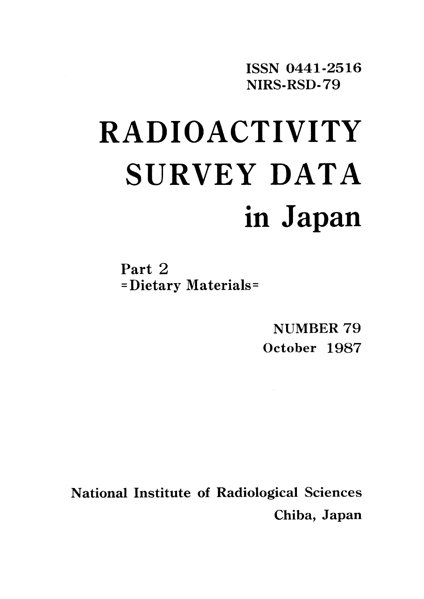ISSN 0441-2516 NIRS-RSD-79

# **RADIOACTIVITY** SURVEY DATA in Japan

Part 2 =Dietary Materials=

> NUMBER 79 October 1987

**National Institute of Radiological Sciences** Chiba, Japan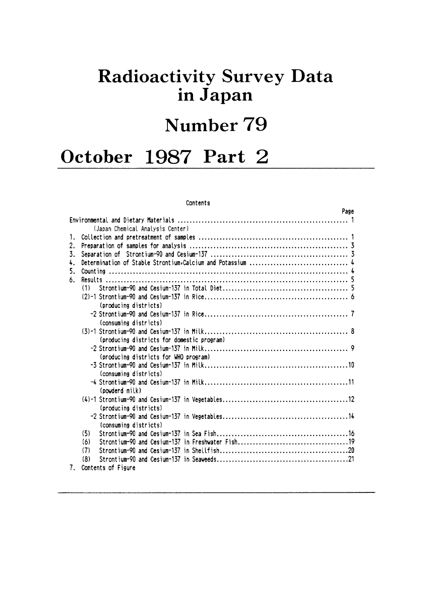# **Radioactivity Survey Data** in Japan

# Number 79

# October 1987 Part 2

#### Contents

|                                            | Page |
|--------------------------------------------|------|
|                                            |      |
| (Japan Chemical Analysis Center)           |      |
| 1.                                         |      |
| 2.                                         |      |
| 3.                                         |      |
| 4.                                         |      |
| 5.                                         |      |
| 6.                                         |      |
| (1)                                        |      |
|                                            |      |
| (producing districts)                      |      |
|                                            |      |
| (consuming districts)                      |      |
|                                            |      |
| (producing districts for domestic program) |      |
|                                            |      |
| (producing districts for WHO program)      |      |
|                                            |      |
| (consuming districts)                      |      |
|                                            |      |
| (powderd milk)                             |      |
|                                            |      |
| (producing districts)                      |      |
|                                            |      |
| (consuming districts)                      |      |
| (5)                                        |      |
| (6)                                        |      |
| (7)                                        |      |
| (8)                                        |      |
| 7.<br>Contents of Figure                   |      |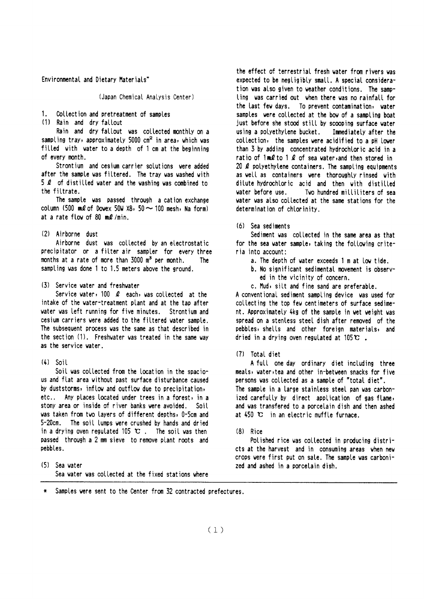Environmental and Dietary Materials\*

(Japan Chemical Analysis Center)

#### $1<sup>1</sup>$ Collection and pretreatment of samples

(1) Rain and dry fallout

Rain and dry fallout was collected monthly on a sampling tray, approximately 5000 cm<sup>2</sup> in area, which was filled with water to a depth of 1 cm at the beginning of every month.

Strontium and cesium carrier solutions were added after the sample was filtered. The tray was washed with 5  $\ell$  of distilled water and the washing was combined to the filtrate.

The sample was passed through a cation exchange column (500 ml of Dowex 50W  $\times$ 8, 50  $\sim$  100 mesh, Na form) at a rate flow of 80 ml/min.

#### (2) Airborne dust

Airborne dust was collected by an electrostatic precipitator or a filter air sampler for every three months at a rate of more than 3000 m<sup>3</sup> per month. The sampling was done 1 to 1.5 meters above the ground.

#### (3) Service water and freshwater

Service water, 100  $\ell$  each, was collected at the intake of the water-treatment plant and at the tap after water was left running for five minutes. Strontium and cesium carriers were added to the filtered water sample. The subsequent process was the same as that described in the section (1). Freshwater was treated in the same way as the service water.

### $(4)$  Soil

Soil was collected from the location in the spacious and flat area without past surface disturbance caused by duststorms, inflow and outflow due to precipitation, etc.. Any places located under trees in a forest, in a stony area or inside of river banks were avoided. Soil was taken from two layers of different depths, 0-5cm and 5-20cm. The soil lumps were crushed by hands and dried in a drying oven regulated 105  $\mathbb{C}$ . The soil was then passed through a 2 mm sieve to remove plant roots and pebbles.

(5) Sea water Sea water was collected at the fixed stations where the effect of terrestrial fresh water from rivers was expected to be negligibly small. A special consideration was also given to weather conditions. The sampling was carried out when there was no rainfall for the last few days. To prevent contamination, water samples were collected at the bow of a sampling boat just before she stood still by scooping surface water using a polyethylene bucket. Immediately after the collection, the samples were acidified to a pH lower than 3 by adding concentrated hydrochloric acid in a ratio of  $1 \text{ mQ}$  to 1  $\Omega$  of sea water, and then stored in 20  $\ell$  polyethylene containers. The sampling equipments as well as containers were thoroughly rinsed with dilute hydrochloric acid and then with distilled vater before use. Two hundred milliliters of sea water was also collected at the same stations for the determination of chlorinity.

(6) Sea sediments

Sediment was collected in the same area as that for the sea water sample, taking the following criteria into account:

- a. The depth of water exceeds 1 m at low tide.
- b. No significant sedimental movement is observed in the vicinity of concern.
- c. Mud, silt and fine sand are preferable.

A conventional sediment sampling device was used for collecting the top few centimeters of surface sediment. Approximately 4kg of the sample in wet weight was spread on a stenless steel dish after removed of the pebbles, shells and other foreign materials, and dried in a drying oven regulated at 105 $\mathbf{c}$ .

#### (7) Total diet

A full one day ordinary diet including three meals, water, tea and other in-between snacks for five persons was collected as a sample of "total diet". The sample in a large stainless steel pan was carbonized carefully by direct application of gas flame, and was transfered to a porcelain dish and then ashed at  $450$  °C in an electric muffle furnace.

#### $(8)$  Rice

Polished rice was collected in producing districts at the harvest and in consuming areas when new crops were first put on sale. The sample was carbonized and ashed in a porcelain dish.

Samples were sent to the Center from 32 contracted prefectures.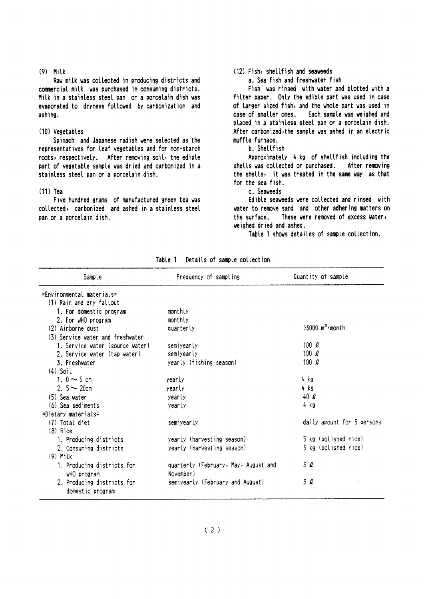#### $(9)$  Milk

Raw milk was collected in producing districts and commercial milk was purchased in consuming districts. Milk in a stainless steel pan or a porcelain dish was evaporated to dryness followed by carbonization and ashing.

#### (10) Vegetables

Spinach and Japanese radish were selected as the representatives for leaf vegetables and for non-starch roots, respectively. After removing soil, the edible part of vegetable sample was dried and carbonized in a stainless steel pan or a porcelain dish.

#### $(11)$  Tea

Five hundred grams of manufactured green tea was collected, carbonized and ashed in a stainless steel pan or a porcelain dish.

#### (12) Fish, shellfish and seaweeds

a. Sea fish and freshwater fish

Fish was rinsed with water and blotted with a filter paper. Only the edible part was used in case of larger sized fish, and the whole part was used in case of smaller ones. Each sample was weighed and placed in a stainless steel pan or a porcelain dish. After carbonized, the sample was ashed in an electric muffle furnace.

### b. Shellfish

Approximately 4 kg of shellfish including the shells was collected or purchased. After removing the shells, it was treated in the same way as that for the sea fish.

#### c. Seaweeds

Edible seaweeds were collected and rinsed with water to remove sand and other adhering matters on These were removed of excess waters the surface. weighed dried and ashed.

Table 1 shows detailes of sample collection.

| Sample                           | Frequency of sampling                | Quantity of sample            |
|----------------------------------|--------------------------------------|-------------------------------|
| =Environmental materials=        |                                      |                               |
| (1) Rain and dry fallout         |                                      |                               |
| 1. For domestic program          | monthly                              |                               |
| 2. For WHO program               | monthly                              |                               |
| (2) Airborne dust                | quarterly                            | $>3000$ m <sup>3</sup> /month |
| (3) Service water and freshwater |                                      |                               |
| 1. Service water (source water)  | semivearly                           | 100 $\ell$                    |
| 2. Service water (tap water)     | semiyearly                           | 100 $\ell$                    |
| 3. Freshwater                    | yearly (fishing season)              | 100 $\ell$                    |
| $(4)$ Soil                       |                                      |                               |
| 1. $0 \sim 5$ cm                 | yearly                               | 4 kg                          |
| 2. $5 - 20$ cm                   | yearly                               | 4 kg                          |
| (5) Sea water                    | yearly                               | 40 $\ell$                     |
| (6) Sea sediments                | yearly                               | 4 kg                          |
| =Dietary materials=              |                                      |                               |
| (7) Total diet                   | semiyearly                           | daily amount for 5 persons    |
| $(8)$ Rice                       |                                      |                               |
| 1. Producing districts           | yearly (harvesting season)           | 5 kg (polished rice)          |
| 2. Consuming districts           | yearly (harvesting season)           | 5 kg (polished rice)          |
| $(9)$ Milk                       |                                      |                               |
| 1. Producing districts for       | quarterly (February, May, August and | 3 Q                           |
| WHO program                      | November)                            |                               |
| 2. Producing districts for       | semiyearly (February and August)     | 3Q                            |
| domestic program                 |                                      |                               |

Table 1 Details of sample collection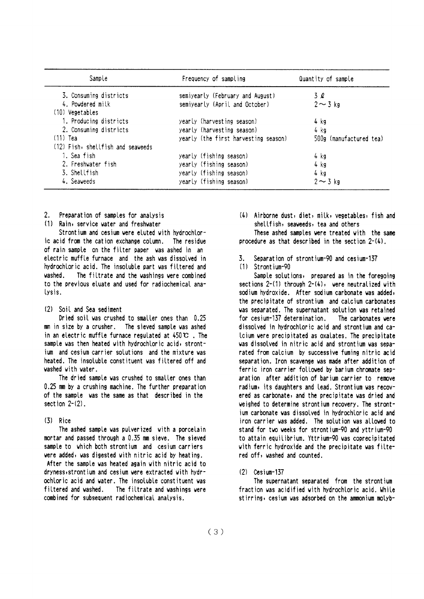| Sample                            | Frequency of sampling                | Quantity of sample      |  |  |
|-----------------------------------|--------------------------------------|-------------------------|--|--|
| 3. Consuming districts            | semiyearly (February and August)     | 3 Q                     |  |  |
| 4. Powdered milk                  | semiyearly (April and October)       | $2 \sim 3$ kg           |  |  |
| (10) Vegetables                   |                                      |                         |  |  |
| 1. Producing districts            | yearly (harvesting season)           | 4 kg                    |  |  |
| 2. Consuming districts            | yearly (harvesting season)           | 4 kg                    |  |  |
| $(11)$ Tea                        | yearly (the first harvesting season) | 500g (manufactured tea) |  |  |
| (12) Fish, shellfish and seaveeds |                                      |                         |  |  |
| 1. Sea fish                       | yearly (fishing season)              | 4 kg                    |  |  |
| 2. Freshwater fish                | yearly (fishing season)              | 4 kg                    |  |  |
| 3. Shellfish                      | yearly (fishing season)              | 4 kg                    |  |  |
| 4. Seaveeds                       | yearly (fishing season)              | $2 \sim 3$ kg           |  |  |

- Preparation of samples for analysis  $2^{\circ}$
- (1) Rain, service water and freshwater

Strontium and cesium were eluted with hydrochloric acid from the cation exchange column. The residue of rain sample on the filter paper was ashed in an electric muffle furnace and the ash was dissolved in hydrochloric acid. The insoluble part was filtered and vashed The filtrate and the washings were combined to the previous eluate and used for radiochemical ana-Lysis.

#### (2) Soil and Sea sediment

Dried soil was crushed to smaller ones than 0.25 mm in size by a crusher. The sieved sample was ashed in an electric muffle furnace regulated at  $450 \, \text{C}$ . The sample was then heated with hydrochloric acid, strontium and cesium carrier solutions and the mixture was heated. The insoluble constituent was filtered off and washed with water.

The dried sample was crushed to smaller ones than 0.25 mm by a crushing machine. The further preparation of the sample was the same as that described in the section  $2-(2)$ .

### $(3)$  Rice

The ashed sample was pulverized with a porcelain mortar and passed through a 0.35 mm sieve. The sieved sample to which both strontium and cesium carriers were added, was digested with nitric acid by heating. After the sample was heated again with nitric acid to dryness, strontium and cesium were extracted with hydrochloric acid and water. The insoluble constituent was filtered and washed. The filtrate and washings were combined for subsequent radiochemical analysis.

(4) Airborne dust, diet, milk, vegetables, fish and shellfish, seaveeds, tea and others

These ashed samples were treated with the same procedure as that described in the section  $2-(4)$ .

- $\mathbf{z}$ Separation of strontium-90 and cesium-137
- (1) Strontium-90

Sample solutions, prepared as in the foregoing sections  $2-(1)$  through  $2-(4)$ , were neutralized with sodium hydroxide. After sodium carbonate was added, the precipitate of strontium and calcium carbonates was separated. The supernatant solution was retained The carbonates were for cesium-137 determination. dissolved in hydrochloric acid and strontium and ca-Icium were precipitated as oxalates. The precipitate was dissolved in nitric acid and strontium was separated from calcium by successive fuming nitric acid separation. Iron scavenge was made after addition of ferric iron carrier followed by barium chromate separation after addition of barium carrier to remove radium, its daughters and lead. Strontium was recovered as carbonate, and the precipitate was dried and weighed to determine strontium recovery. The strontium carbonate was dissolved in hydrochloric acid and iron carrier was added. The solution was allowed to stand for two weeks for strontium-90 and yttrium-90 to attain equilibrium. Yttrium-90 was coprecipitated with ferric hydroxide and the precipitate was filtered off, washed and counted.

 $(2)$  Cesium-137

The supernatant separated from the strontium fraction was acidified with hydrochloric acid. While stirring, cesium was adsorbed on the ammonium molyb-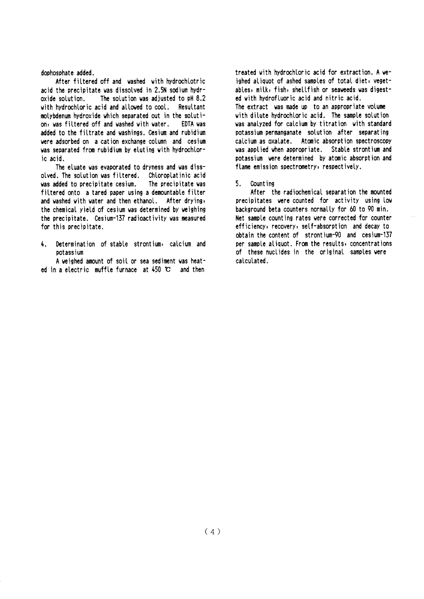#### dophosphate added.

After filtered off and washed with hydrochlotric acid the precipitate was dissolved in 2.5N sodium hydr-The solution was adjusted to oH 8.2 oxide solution. with hydrochloric acid and allowed to cool. Resultant molybdenum hydroxide which separated out in the solution, was filtered off and washed with water. EDTA was added to the filtrate and washings. Cesium and rubidium were adsorbed on a cation exchange column and cesium was separated from rubidium by eluting with hydrochloric acid.

The eluate was evaporated to dryness and was dissolved. The solution was filtered. Chloroplatinic acid was added to precipitate cesium. The precipitate was filtered onto a tared paper using a demountable filter and washed with water and then ethanol. After drying, the chemical yield of cesium was determined by weighing the precipitate. Cesium-137 radioactivity was measured for this precipitate.

Determination of stable strontium, calcium and  $\mathbf{L}$ potassium

A weighed amount of soil or sea sediment was heated in a electric muffle furnace at  $450$  C and then

treated with hydrochloric acid for extraction. A weighed aliquot of ashed samples of total diet, vegetables, milk, fish, shellfish or seaweeds was digested with hydrofluoric acid and nitric acid. The extract was made up to an appropriate volume with dilute hydrochloric acid. The sample solution was analyzed for calcium by titration with standard potassium permanganate solution after separating calcium as oxalate. Atomic absorption spectroscopy was applied when appropriate. Stable strontium and potassium were determined by atomic absorption and flame emission spectrometry, respectively.

#### 5. Count ing

After the radiochemical separation the mounted precipitates were counted for activity using low background beta counters normally for 60 to 90 min. Net sample counting rates were corrected for counter efficiency, recovery, self-absorption and decay to obtain the content of strontium-90 and cesium-137 per sample aliquot. From the results, concentrations of these nuclides in the original samples were calculated.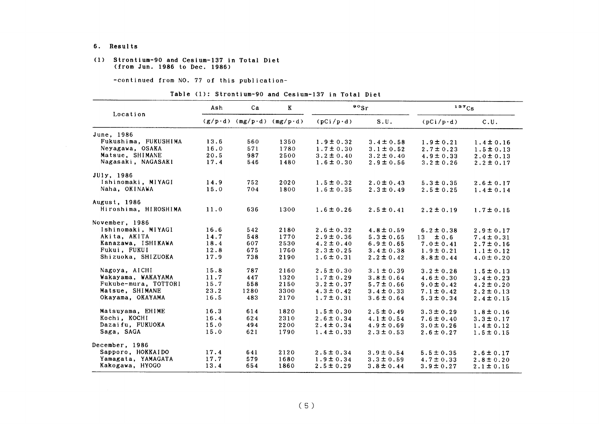#### 6. Results

#### (1) Strontium-90 and Cesium-137 in Total Diet (from Jun. 1986 to Dec. 1986)

-COntinued from NO.77 0f this publication-

|  |  | Table (1): Strontium-90 and Cesium-137 in Total Diet |  |  |  |  |  |
|--|--|------------------------------------------------------|--|--|--|--|--|
|--|--|------------------------------------------------------|--|--|--|--|--|

|                      | Ash  | Ca                                | $\bf K$ |                  | $\bullet \circ$ Sr | 137Cs            |                |  |
|----------------------|------|-----------------------------------|---------|------------------|--------------------|------------------|----------------|--|
| Location             |      | $(g/p \cdot d)$ (mg/p·d) (mg/p·d) |         | $(pCi/p\cdot d)$ | S.U.               | $(pCi/p\cdot d)$ | C.U.           |  |
| June, 1986           |      |                                   |         |                  |                    |                  |                |  |
| Fukushima, FUKUSHIMA | 13.6 | 560                               | 1350    | $1.9 \pm 0.32$   | $3.4 \pm 0.58$     | $1.9 \pm 0.21$   | $1.4 \pm 0.16$ |  |
| Neyagawa, OSAKA      | 16.0 | 571                               | 1780    | $1.7 \pm 0.30$   | $3.1 \pm 0.52$     | $2.7 \pm 0.23$   | $1.5 \pm 0.13$ |  |
| Matsue, SHIMANE      | 20.5 | 987                               | 2500    | $3.2 \pm 0.40$   | $3.2 \pm 0.40$     | $4.9 \pm 0.33$   | $2.0 \pm 0.13$ |  |
| Nagasaki, NAGASAKI   | 17.4 | 546                               | 1480    | $1.6 \pm 0.30$   | $2.9 \pm 0.56$     | $3.2 \pm 0.26$   | $2.2 \pm 0.17$ |  |
| JUly, 1986           |      |                                   |         |                  |                    |                  |                |  |
| Ishinomaki, MIYAGI   | 14.9 | 752                               | 2020    | $1.5 \pm 0.32$   | $2.0 \pm 0.43$     | $5.3 \pm 0.35$   | $2.6 \pm 0.17$ |  |
| Naha, OKINAWA        | 15.0 | 704                               | 1800    | $1.6 \pm 0.35$   | $2.3 \pm 0.49$     | $2.5 \pm 0.25$   | $1.4 \pm 0.14$ |  |
| August, 1986         |      |                                   |         |                  |                    |                  |                |  |
| Hiroshima, HIROSHIMA | 11.0 | 636                               | 1300    | $1.6 \pm 0.26$   | $2.5 \pm 0.41$     | $2.2 \pm 0.19$   | $1.7 \pm 0.15$ |  |
| November, 1986       |      |                                   |         |                  |                    |                  |                |  |
| Ishinomaki, MIYAGI   | 16.6 | 542                               | 2180    | $2.6 \pm 0.32$   | $4.8 \pm 0.59$     | $6.2 \pm 0.38$   | $2.9 \pm 0.17$ |  |
| Akita, AKITA         | 14.7 | 548                               | 1770    | $2.9 \pm 0.36$   | $5.3 \pm 0.65$     | $13 \pm 0.6$     | $7.4 \pm 0.31$ |  |
| Kanazawa, ISHIKAWA   | 18.4 | 607                               | 2530    | $4.2 \pm 0.40$   | $6.9 \pm 0.65$     | $7.0 \pm 0.41$   | $2.7 \pm 0.16$ |  |
| Fukui, FUKUI         | 12.8 | 675                               | 1760    | $2.3 \pm 0.25$   | $3.4 \pm 0.38$     | $1.9 \pm 0.21$   | $1.1 \pm 0.12$ |  |
| Shizuoka, SHIZUOKA   | 17.9 | 738                               | 2190    | $1.6 \pm 0.31$   | $2.2 \pm 0.42$     | $8.8 \pm 0.44$   | $4.0 \pm 0.20$ |  |
| Nagoya, AICHI        | 15.8 | 787                               | 2160    | $2.5 \pm 0.30$   | $3.1 \pm 0.39$     | $3.2 \pm 0.28$   | $1.5 \pm 0.13$ |  |
| Wakayama, WAKAYAMA   | 11.7 | 447                               | 1320    | $1.7 \pm 0.29$   | $3.8 \pm 0.64$     | $4.6 \pm 0.30$   | $3.4 \pm 0.23$ |  |
| Fukube-mura, TOTTORI | 15.7 | 558                               | 2150    | $3.2 \pm 0.37$   | $5.7 \pm 0.66$     | $9.0 \pm 0.42$   | $4.2 \pm 0.20$ |  |
| Matsue, SHIMANE      | 23.2 | 1280                              | 3300    | $4.3 \pm 0.42$   | $3.4 \pm 0.33$     | $7.1 \pm 0.42$   | $2.2 \pm 0.13$ |  |
| Okayama, OKAYAMA     | 16.5 | 483                               | 2170    | $1.7 \pm 0.31$   | $3.6 \pm 0.64$     | $5.3 \pm 0.34$   | $2.4 \pm 0.15$ |  |
| Matsuyama, EHIME     | 16.3 | 614                               | 1820    | $1.5 \pm 0.30$   | $2.5 \pm 0.49$     | $3.3 \pm 0.29$   | $1.8 \pm 0.16$ |  |
| Kochi, KOCHI         | 16.4 | 624                               | 2310    | $2.6 \pm 0.34$   | $4.1 \pm 0.54$     | $7.6 \pm 0.40$   | $3.3 \pm 0.17$ |  |
| Dazaifu, FUKUOKA     | 15.0 | 494                               | 2200    | $2.4 \pm 0.34$   | $4.9 \pm 0.69$     | $3.0 \pm 0.26$   | $1.4 \pm 0.12$ |  |
| Saga, SAGA           | 15.0 | 621                               | 1790    | $1.4 \pm 0.33$   | $2.3 \pm 0.53$     | $2.6 \pm 0.27$   | $1.5 \pm 0.15$ |  |
| December, 1986       |      |                                   |         |                  |                    |                  |                |  |
| Sapporo, HOKKAIDO    | 17.4 | 641                               | 2120    | $2.5 \pm 0.34$   | $3.9 \pm 0.54$     | $5.5 \pm 0.35$   | $2.6 \pm 0.17$ |  |
| Yamagata, YAMAGATA   | 17.7 | 579                               | 1680    | $1.9 \pm 0.34$   | $3.3 \pm 0.59$     | $4.7 \pm 0.33$   | $2.8 \pm 0.20$ |  |
| Kakogawa, HYOGO      | 13.4 | 654                               | 1860    | $2.5 \pm 0.29$   | $3.8 \pm 0.44$     | $3.9 \pm 0.27$   | $2.1 \pm 0.15$ |  |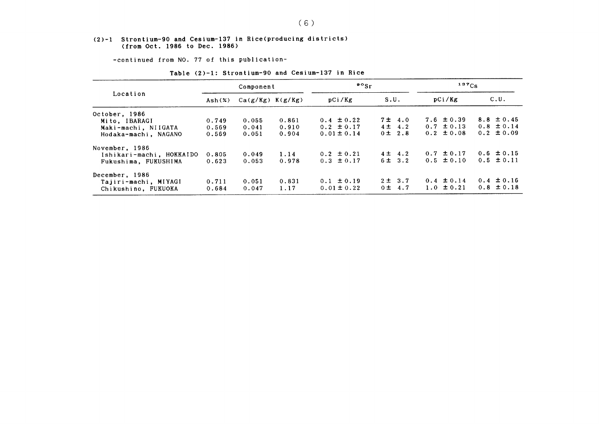#### (2)-1 Strontium-90 and Cesium-137in Rice(producing districts) (from Oet.1986 to Dee.1986)

-COntinued from NO.77 0f this publication-

| Location                 | Component                               |       |       | $\frac{90}{5}$  |             | $137C_S$       |                |  |
|--------------------------|-----------------------------------------|-------|-------|-----------------|-------------|----------------|----------------|--|
|                          | $Ca(g/Kg)$ $K(g/Kg)$<br>$\text{Ash}(x)$ |       |       | pCi/Kg          | S.U.        | pCi/Kg         | C.U.           |  |
| October, 1986            |                                         |       |       |                 |             |                |                |  |
| Mito, IBARAGI            | 0.749                                   | 0.055 | 0.861 | $0.4 \pm 0.22$  | $7\pm 4.0$  | $7.6 \pm 0.39$ | $8.8 \pm 0.45$ |  |
| Maki-machi, NIIGATA      | 0.569                                   | 0.041 | 0.910 | $0.2 \pm 0.17$  | $4 \pm 4.2$ | $0.7 \pm 0.13$ | $0.8 \pm 0.14$ |  |
| Hodaka-machi, NAGANO     | 0.569                                   | 0.051 | 0.904 | $0.01 \pm 0.14$ | $0 \pm 2.8$ | $0.2 \pm 0.08$ | $0.2 \pm 0.09$ |  |
| November, 1986           |                                         |       |       |                 |             |                |                |  |
| Ishikari-machi, HOKKAIDO | 0.805                                   | 0.049 | 1.14  | $0.2 \pm 0.21$  | $4\pm 4.2$  | $0.7 \pm 0.17$ | $0.6 \pm 0.15$ |  |
| Fukushima, FUKUSHIMA     | 0.623                                   | 0.053 | 0.978 | $0.3 \pm 0.17$  | 6 ± 3.2     | $0.5 \pm 0.10$ | $0.5 \pm 0.11$ |  |
| December, 1986           |                                         |       |       |                 |             |                |                |  |
| Tajiri-machi, MIYAGI     | 0.711                                   | 0.051 | 0.831 | $0.1 \pm 0.19$  | $2 \pm 3.7$ | $0.4 \pm 0.14$ | $0.4 \pm 0.16$ |  |
| Chikushino, FUKUOKA      | 0.684                                   | 0.047 | 1.17  | $0.01 \pm 0.22$ | $0 \pm 4.7$ | 1.0 $\pm$ 0.21 | $0.8 \pm 0.18$ |  |

### Table (2)-1: Strontium-90 and Cesium-137 in Rice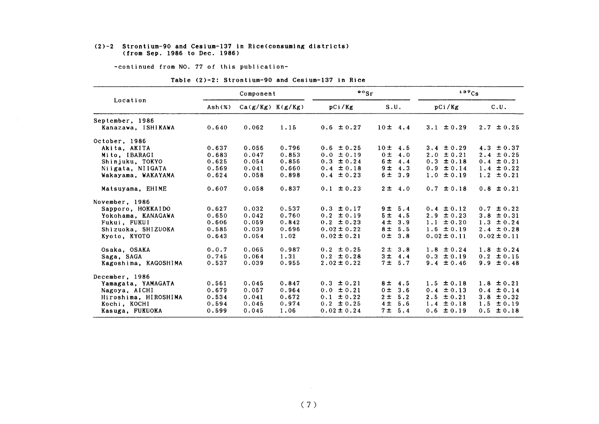#### (2)-2 Strontium-90 and Cesium-137in Rice(COnSuming districts) (froれ Sep.1986 to Dec.1986)

-COntinued from NO.77 0f this publication-

#### Table (2)-2: Strontium-90 and Cesium-137 in Rice

|                      | Component       |                      |       | $\frac{80}{5}$  |                       | 137Cs             |                 |  |
|----------------------|-----------------|----------------------|-------|-----------------|-----------------------|-------------------|-----------------|--|
| Location             | $\text{Ash}(x)$ | $Ca(g/Kg)$ $K(g/Kg)$ |       | pCi/Kg          | S.U.                  | pCi/Kg            | C.U.            |  |
| September, 1986      |                 |                      |       |                 |                       |                   |                 |  |
| Kanazawa, ISHIKAWA   | 0.640           | 0.062                | 1.15  | $0.6 \pm 0.27$  | $10 \pm 4.4$          | $3.1 \pm 0.29$    | $2.7 \pm 0.25$  |  |
| October, 1986        |                 |                      |       |                 |                       |                   |                 |  |
| Akita, AKITA         | 0.637           | 0.056                | 0.796 | $0.6 \pm 0.25$  | 10± 4.5               | $3.4 \pm 0.29$    | 4.3 $\pm 0.37$  |  |
| Mito, IBARAGI        | 0.683           | 0.047                | 0.853 | $0.0 \pm 0.19$  | 0 <sub>±</sub><br>4.0 | $2.0 \pm 0.21$    | $2.4 \pm 0.25$  |  |
| Shinjuku, TOKYO      | 0.625           | 0.054                | 0.856 | $0.3 \pm 0.24$  | 6 ±<br>4.4            | $0.3 \pm 0.18$    | $0.4 \pm 0.21$  |  |
| Niigata, NIIGATA     | 0.569           | 0.041                | 0.660 | $0.4 \pm 0.18$  | 9 <sub>±</sub><br>4.3 | $0.9 \pm 0.14$    | $1.4 \pm 0.22$  |  |
| Wakayama, WAKAYAMA   | 0.624           | 0.058                | 0.898 | $0.4 \pm 0.23$  | 6 ±<br>3.9            | $1.0 \pm 0.19$    | $1.2 \pm 0.21$  |  |
| Matsuyama, EHIME     | 0.607           | 0.058                | 0.837 | $0.1 \pm 0.23$  | $2 \pm 4.0$           | $0.7 \pm 0.18$    | $0.8 \pm 0.21$  |  |
| November, 1986       |                 |                      |       |                 |                       |                   |                 |  |
| Sapporo, HOKKAIDO    | 0.627           | 0.032                | 0.537 | $0.3 \pm 0.17$  | 9 ± 5.4               | $0.4 \pm 0.12$    | $0.7 \pm 0.22$  |  |
| Yokohama. KANAGAWA   | 0.650           | 0.042                | 0.760 | $0.2 \pm 0.19$  | 5 <sup>±</sup><br>4.5 | $2.9 \pm 0.23$    | $3.8 \pm 0.31$  |  |
| Fukui, FUKUI         | 0.606           | 0.059                | 0.842 | $0.2 \pm 0.23$  | 4 <sub>±</sub><br>3.9 | $1.1 \pm 0.20$    | $1.3 \pm 0.24$  |  |
| Shizuoka, SHIZUOKA   | 0.585           | 0.039                | 0.696 | $0.02 \pm 0.22$ | 8 <sub>±</sub><br>5.5 | $1.6 \pm 0.19$    | $2.4 \pm 0.28$  |  |
| Kyoto, KYOTO         | 0.643           | 0.054                | 1.02  | $0.02 \pm 0.21$ | 0 <sub>±</sub><br>3.8 | $0.02 \pm 0.11$   | $0.02 \pm 0.11$ |  |
| Osaka, OSAKA         | 0.0.7           | 0.065                | 0.987 | $0.2 \pm 0.25$  | $2 \pm$<br>3.8        | $1.8 \pm 0.24$    | $1.8 \pm 0.24$  |  |
| Saga, SAGA           | 0.745           | 0.064                | 1.31  | $0.2 \pm 0.28$  | 3 ±<br>4.4            | $0.3 \pm 0.19$    | $0.2 \pm 0.15$  |  |
| Kagoshima, KAGOSHIMA | 0.537           | 0.039                | 0.955 | $2.02 \pm 0.22$ | 7 ± 5.7               | $9.4 \pm 0.46$    | $9.9 \pm 0.48$  |  |
| December, 1986       |                 |                      |       |                 |                       |                   |                 |  |
| Yamagata, YAMAGATA   | 0.561           | 0.045                | 0.847 | $0.3 \pm 0.21$  | 8 ± 4.5               | $1.5 \pm 0.18$    | $1.8 \pm 0.21$  |  |
| Nagoya, AICHI        | 0.679           | 0.057                | 0.964 | $0.0 \pm 0.21$  | $0 \pm$<br>3.6        | $0.4 \pm 0.13$    | $0.4 \pm 0.14$  |  |
| Hiroshima, HIROSHIMA | 0.534           | 0.041                | 0.672 | $0.1 \pm 0.22$  | 2 <sub>±</sub><br>5.2 | $2.5 \pm 0.21$    | $3.8 \pm 0.32$  |  |
| Kochi, KOCHI         | 0.594           | 0.045                | 0.974 | $0.2 \pm 0.25$  | 4 <sub>±</sub><br>5.6 | 1.4<br>$\pm 0.18$ | $1.5 \pm 0.19$  |  |
| Kasuga, FUKUOKA      | 0.599           | 0.045                | 1.06  | $0.02 \pm 0.24$ | 7 ±<br>5.4            | $\pm 0.19$<br>0.6 | $0.5 \pm 0.18$  |  |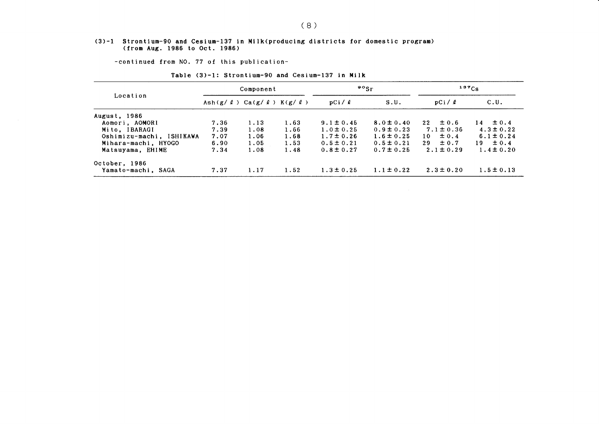#### (3)-1 Strontium-90 and Cesiun-137in Milk(producing districts for domestic progr (from Aug. 1986 to Oct. 1986)

-COntinued from NO.77 0f this publication-

| Location                 |                                                 | Component |      |                | $^{90}$ Sr     | $137C_S$         |                |  |
|--------------------------|-------------------------------------------------|-----------|------|----------------|----------------|------------------|----------------|--|
|                          | Ash $(g / \ell)$ Ca $(g / \ell)$ K $(g / \ell)$ |           |      | pCi / l        | S.U.           | pCi/2            | C.U.           |  |
| <b>August, 1986</b>      |                                                 |           |      |                |                |                  |                |  |
| Aomori, AOMORI           | 7.36                                            | 1.13      | 1.63 | $9.1 \pm 0.45$ | $8.0 \pm 0.40$ | $22 \pm 0.6$     | $14 \pm 0.4$   |  |
| Mito, IBARAGI            | 7.39                                            | 1.08      | 1.66 | $1.0 \pm 0.25$ | $0.9 \pm 0.23$ | $7.1 \pm 0.36$   | $4.3 \pm 0.22$ |  |
| Oshimizu-machi, ISHIKAWA | 7.07                                            | 1.06      | 1.68 | $1.7 \pm 0.26$ | $1.6 \pm 0.25$ | $\pm 0.4$<br>10  | $6.1 \pm 0.24$ |  |
| Mihara-machi, HYOGO      | 6.90                                            | 1.05      | 1.53 | $0.5 \pm 0.21$ | $0.5 \pm 0.21$ | $\pm 0.7$<br>29. | $19 \pm 0.4$   |  |
| Matsuyama, EHIME         | 7.34                                            | 1.08      | 1.48 | $0.8 \pm 0.27$ | $0.7 \pm 0.25$ | $2.1 \pm 0.29$   | $1.4 \pm 0.20$ |  |
| October, 1986            |                                                 |           |      |                |                |                  |                |  |
| Yamato-machi, SAGA       | 7.37                                            | 1.17      | 1.52 | $1.3 \pm 0.25$ | $1.1 \pm 0.22$ | $2.3 \pm 0.20$   | $1.5 \pm 0.13$ |  |

#### Table (3)-1: Strontium-90 and Cesium-137 in Milk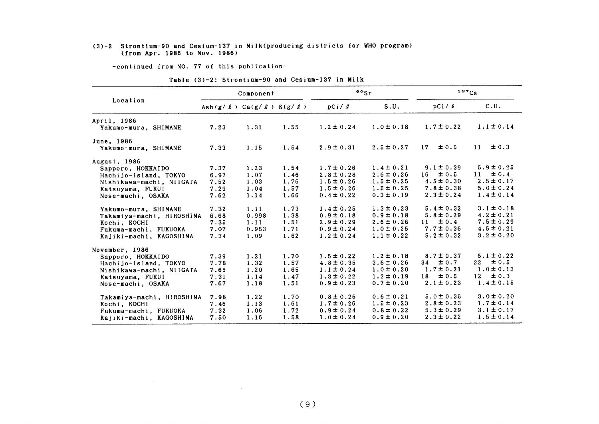#### (3)-2 Strontiun-90 and Cesium-137in Milk(producing districts for VHO program) (from Apr.1986 to Nov.1986)

-COntinued from NO.77 0f this publication-

|  | Table (3)-2: Strontium-90 and Cesium-137 in Milk |  |  |  |  |
|--|--------------------------------------------------|--|--|--|--|
|  |                                                  |  |  |  |  |

|                                     |                                                 | Component |      |                | $\cdot$ $\cdot$ sr | 137Cs           |                 |  |
|-------------------------------------|-------------------------------------------------|-----------|------|----------------|--------------------|-----------------|-----------------|--|
| Location                            | Ash $(g / \ell)$ Ca $(g / \ell)$ K $(g / \ell)$ |           |      | pCi / l        | S.U.               | pCi/2           | C.U.            |  |
| April, 1986<br>Yakumo-mura, SHIMANE | 7.23                                            | 1.31      | 1.55 | $1.2 \pm 0.24$ | $1.0 \pm 0.18$     | $1.7 \pm 0.22$  | $1.1 \pm 0.14$  |  |
| June, 1986<br>Yakumo-mura, SHIMANE  | 7.33                                            | 1.15      | 1.54 | $2.9 \pm 0.31$ | $2.5 \pm 0.27$     | $\pm 0.5$<br>17 | $\pm 0.3$<br>11 |  |
| August, 1986                        |                                                 |           |      |                |                    |                 |                 |  |
| Sapporo, HOKKAIDO                   | 7.37                                            | 1.23      | 1.54 | $1.7 \pm 0.26$ | $1.4 \pm 0.21$     | $9.1 \pm 0.39$  | $5.9 \pm 0.25$  |  |
| Hachijo-Island, TOKYO               | 6.97                                            | 1.07      | 1.46 | $2.8 \pm 0.28$ | $2.6 \pm 0.26$     | ±0.5<br>16      | $\pm 0.4$<br>11 |  |
| Nishikawa-machi, NIIGATA            | 7.52                                            | 1.03      | 1.76 | $1.5 \pm 0.26$ | $1.5 \pm 0.25$     | $4.5 \pm 0.30$  | $2.5 \pm 0.17$  |  |
| Katsuyama, FUKUI                    | 7.29                                            | 1.04      | 1.57 | $1.5 \pm 0.26$ | $1.5 \pm 0.25$     | $7.8 \pm 0.38$  | $5.0 \pm 0.24$  |  |
| Nose-machi, OSAKA                   | 7.62                                            | 1.14      | 1.66 | $0.4 \pm 0.22$ | $0.3 \pm 0.19$     | $2.3 \pm 0.24$  | $1.4 \pm 0.14$  |  |
| Yakumo-mura, SHIMANE                | 7.32                                            | 1.11      | 1.73 | $1.4 \pm 0.25$ | $1.3 \pm 0.23$     | $5.4 \pm 0.32$  | $3.1 \pm 0.18$  |  |
| Takamiya-machi, HIROSHIMA           | 6.68                                            | 0.998     | 1.38 | $0.9 \pm 0.18$ | $0.9 \pm 0.18$     | $5.8 \pm 0.29$  | $4.2 \pm 0.21$  |  |
| Kochi, KOCHI                        | 7.35                                            | 1.11      | 1.51 | $2.9 \pm 0.29$ | $2.6 \pm 0.26$     | $\pm 0.4$<br>11 | $7.5 \pm 0.29$  |  |
| Fukuma-machi, FUKUOKA               | 7.07                                            | 0.953     | 1.71 | $0.9 \pm 0.24$ | $1.0 \pm 0.25$     | $7.7 \pm 0.36$  | $4.5 \pm 0.21$  |  |
| Kajiki-machi, KAGOSHIMA             | 7.34                                            | 1.09      | 1.62 | $1.2 \pm 0.24$ | $1.1 \pm 0.22$     | $5.2 \pm 0.32$  | $3.2 \pm 0.20$  |  |
| November, 1986                      |                                                 |           |      |                |                    |                 |                 |  |
| Sapporo, HOKKAIDO                   | 7.39                                            | 1.21      | 1.70 | $1.5 \pm 0.22$ | $1.2 \pm 0.18$     | $8.7 \pm 0.37$  | $5.1 \pm 0.22$  |  |
| Hachijo-Island, TOKYO               | 7.78                                            | 1.32      | 1.57 | $4.8 \pm 0.35$ | $3.6 \pm 0.26$     | $34 \pm 0.7$    | $\pm 0.5$<br>22 |  |
| Nishikawa-machi, NIIGATA            | 7.65                                            | 1.20      | 1.65 | $1.1 \pm 0.24$ | $1.0 \pm 0.20$     | $1.7 \pm 0.21$  | $1.0 \pm 0.13$  |  |
| Katsuyama, FUKUI                    | 7.31                                            | 1.14      | 1.47 | $1.3 \pm 0.22$ | $1.2 \pm 0.19$     | $\pm 0.5$<br>18 | 12<br>$\pm 0.3$ |  |
| Nose-machi, OSAKA                   | 7.67                                            | 1.18      | 1.51 | $0.9 \pm 0.23$ | $0.7 \pm 0.20$     | $2.1 \pm 0.23$  | $1.4 \pm 0.15$  |  |
| Takamiya-machi, HIROSHIMA           | 7.98                                            | 1.22      | 1.70 | $0.8 \pm 0.26$ | $0.6 \pm 0.21$     | $5.0 \pm 0.35$  | $3.0 \pm 0.20$  |  |
| Kochi, KOCHI                        | 7.46                                            | 1.13      | 1.61 | $1.7 \pm 0.26$ | $1.5 \pm 0.23$     | $2.8 \pm 0.23$  | $1.7 \pm 0.14$  |  |
| Fukuma-machi, FUKUOKA               | 7.32                                            | 1.06      | 1.72 | $0.9 \pm 0.24$ | $0.8 \pm 0.22$     | $5.3 \pm 0.29$  | $3.1 \pm 0.17$  |  |
| Kajiki-machi, KAGOSHIMA             | 7.50                                            | 1.16      | 1.58 | $1.0 \pm 0.24$ | $0.9 \pm 0.20$     | $2.3 \pm 0.22$  | $1.5 \pm 0.14$  |  |

 $\mathcal{L}^{\text{max}}_{\text{max}}$  and  $\mathcal{L}^{\text{max}}_{\text{max}}$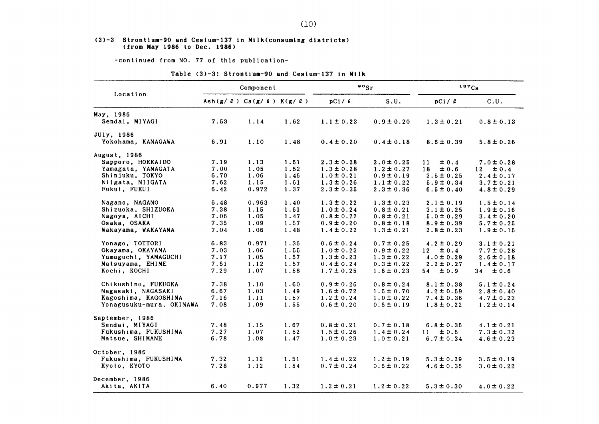#### (3)-3 Strontium-90 and Cesium-137 in Milk(consuming districts) (from Hay1986 to Dee.1986)

-COntinued from NO.77 0f this publication-

#### Table  $(3)-3$ : Strontium-90 and Cesium-137 in Milk

|                          |      | Component                                       |      |                | $\bullet \circ$ <sub>Sr</sub> | 137Cs           |                 |  |
|--------------------------|------|-------------------------------------------------|------|----------------|-------------------------------|-----------------|-----------------|--|
| Location                 |      | Ash $(g / \ell)$ Ca $(g / \ell)$ K $(g / \ell)$ |      | pCi / <i>l</i> | S.U.                          | pCi / l         | C.U.            |  |
| May, 1986                |      |                                                 |      |                |                               |                 |                 |  |
| Sendai, MIYAGI           | 7.53 | 1.14                                            | 1.62 | $1.1 \pm 0.23$ | $0.9 \pm 0.20$                | $1.3 \pm 0.21$  | $0.8 \pm 0.13$  |  |
| JUly, 1986               |      |                                                 |      |                |                               |                 |                 |  |
| Yokohama, KANAGAWA       | 6.91 | 1.10                                            | 1.48 | $0.4 \pm 0.20$ | $0.4 \pm 0.18$                | $8.6 \pm 0.39$  | $5.8 \pm 0.26$  |  |
| August, 1986             |      |                                                 |      |                |                               |                 |                 |  |
| Sapporo, HOKKAIDO        | 7.19 | 1.13                                            | 1.51 | $2.3 \pm 0.28$ | $2.0 \pm 0.25$                | ±0.4<br>11      | $7.0 \pm 0.28$  |  |
| Yamagata, YAMAGATA       | 7.00 | 1.05                                            | 1.52 | $1.3 \pm 0.28$ | $1.2 \pm 0.27$                | ±0.6<br>18      | $\pm 0.4$<br>12 |  |
| Shinjuku, TOKYO          | 6.70 | 1.06                                            | 1.46 | $1.0 \pm 0.21$ | $0.9 \pm 0.19$                | $3.5 \pm 0.25$  | $2.4 \pm 0.17$  |  |
| Niigata, NIIGATA         | 7.62 | 1.15                                            | 1.61 | $1.3 \pm 0.26$ | $1.1 \pm 0.22$                | $5.9 \pm 0.34$  | $3.7 \pm 0.21$  |  |
| Fukui, FUKUI             | 6.42 | 0.972                                           | 1.37 | $2.3 \pm 0.35$ | $2.3 \pm 0.36$                | $6.5 \pm 0.40$  | $4.8 \pm 0.29$  |  |
|                          |      |                                                 |      |                |                               |                 |                 |  |
| Nagano, NAGANO           | 6.48 | 0.963                                           | 1.40 | $1.3 \pm 0.22$ | $1.3 \pm 0.23$                | $2.1 \pm 0.19$  | $1.5 \pm 0.14$  |  |
| Shizuoka, SHIZUOKA       | 7.38 | 1.15                                            | 1.61 | $1.0 \pm 0.24$ | $0.8 \pm 0.21$                | $3.1 \pm 0.25$  | $1.9 \pm 0.16$  |  |
| Nagoya, AICHI            | 7.06 | 1.05                                            | 1.47 | $0.8 \pm 0.22$ | $0.8 \pm 0.21$                | $5.0 \pm 0.29$  | $3.4 \pm 0.20$  |  |
| Osaka, OSAKA             | 7.35 | 1.09                                            | 1.57 | $0.9 \pm 0.20$ | $0.8 \pm 0.18$                | $8.9 \pm 0.39$  | $5.7 \pm 0.25$  |  |
| Wakayama, WAKAYAMA       | 7.04 | 1.06                                            | 1.48 | $1.4 \pm 0.22$ | $1.3 \pm 0.21$                | $2.8 \pm 0.23$  | $1.9 \pm 0.15$  |  |
| Yonago, TOTTORI          | 6.83 | 0.971                                           | 1.36 | $0.6 \pm 0.24$ | $0.7 \pm 0.25$                | $4.2 \pm 0.29$  | $3.1 \pm 0.21$  |  |
| Okayama, OKAYAMA         | 7.03 | 1.06                                            | 1.55 | $1.0 \pm 0.23$ | $0.9 \pm 0.22$                | $\pm 0.4$<br>12 | $7.7 \pm 0.28$  |  |
| Yamaguchi, YAMAGUCHI     | 7.17 | 1.05                                            | 1.57 | $1.3 \pm 0.23$ | $1.3 \pm 0.22$                | $4.0 \pm 0.29$  | $2.6 \pm 0.18$  |  |
| Matsuyama, EHIME         | 7.51 | 1.12                                            | 1.57 | $0.4 \pm 0.24$ | $0.3 \pm 0.22$                | $2.2 \pm 0.27$  | $1.4 \pm 0.17$  |  |
| Kochi, KOCHI             | 7.29 | 1.07                                            | 1.58 | $1.7 \pm 0.25$ | $1.6 \pm 0.23$                | $\pm 0.9$<br>54 | $\pm 0.6$<br>34 |  |
| Chikushino, FUKUOKA      | 7.38 | 1.10                                            | 1.60 | $0.9 \pm 0.26$ | $0.8 \pm 0.24$                | $8.1 \pm 0.38$  | $5.1 \pm 0.24$  |  |
| Nagasaki, NAGASAKI       | 6.67 | 1.03                                            | 1.49 | $1.6 \pm 0.72$ | $1.5 \pm 0.70$                | $4.2 \pm 0.59$  | $2.8 \pm 0.40$  |  |
|                          | 7.16 |                                                 |      |                |                               |                 |                 |  |
| Kagoshima, KAGOSHIMA     |      | 1.11                                            | 1.57 | $1.2 \pm 0.24$ | $1.0 \pm 0.22$                | $7.4 \pm 0.36$  | $4.7 \pm 0.23$  |  |
| Yonagusuku-mura, OKINAWA | 7.08 | 1.09                                            | 1.55 | $0.6 \pm 0.20$ | $0.6 \pm 0.19$                | $1.8 \pm 0.22$  | $1.2 \pm 0.14$  |  |
| September, 1986          |      |                                                 |      |                |                               |                 |                 |  |
| Sendai, MIYAGI           | 7.48 | 1.15                                            | 1.67 | $0.8 \pm 0.21$ | $0.7 \pm 0.18$                | $6.8 \pm 0.35$  | $4.1 \pm 0.21$  |  |
| Fukushima, FUKUSHIMA     | 7.27 | 1.07                                            | 1.52 | $1.5 \pm 0.26$ | $1.4 \pm 0.24$                | ± 0.5<br>11     | $7.3 \pm 0.32$  |  |
| Matsue, SHIMANE          | 6.78 | 1.08                                            | 1.47 | $1.0 \pm 0.23$ | $1.0 \pm 0.21$                | $6.7 \pm 0.34$  | $4.6 \pm 0.23$  |  |
| October, 1986            |      |                                                 |      |                |                               |                 |                 |  |
| Fukushima, FUKUSHIMA     | 7.32 | 1.12                                            | 1.51 | $1.4 \pm 0.22$ | $1.2 \pm 0.19$                | $5.3 \pm 0.29$  | $3.5 \pm 0.19$  |  |
| Kyoto, KYOTO             | 7.28 | 1.12                                            | 1.54 | $0.7 \pm 0.24$ | $0.6 \pm 0.22$                | $4.6 \pm 0.35$  | $3.0 \pm 0.22$  |  |
|                          |      |                                                 |      |                |                               |                 |                 |  |
| December, 1986           |      |                                                 |      |                |                               |                 |                 |  |
| Akita, AKITA             | 6.40 | 0.977                                           | 1.32 | $1.2 \pm 0.21$ | $1.2 \pm 0.22$                | $5.3 \pm 0.30$  | $4.0 \pm 0.22$  |  |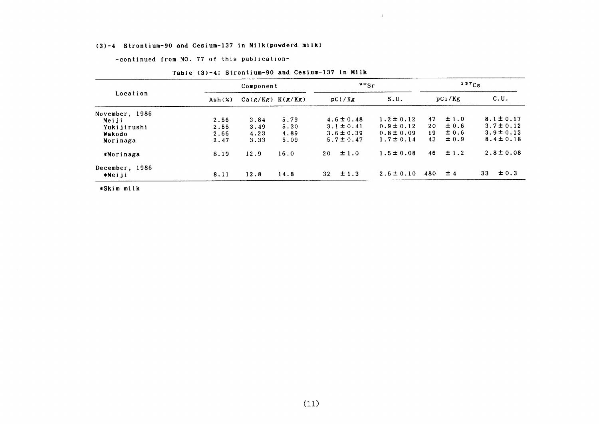### (3)-4 Strontium-90 and Cesiun-137in Milk(povderd milk)

-COntinued from NO.77 0f this publication-

| Location                 |                             | Component            |      | $\mathfrak{so}_{\mathrm{Sr}}$ | 137Cs          |        |           |                 |
|--------------------------|-----------------------------|----------------------|------|-------------------------------|----------------|--------|-----------|-----------------|
|                          | $\mathsf{Ash}(\mathcal{X})$ | $Ca(g/Kg)$ $K(g/Kg)$ |      | pCi/Kg                        | S.U.           | pCi/Kg |           | C.U.            |
| November, 1986           |                             |                      |      |                               |                |        |           |                 |
| Meiji                    | 2.56                        | 3.84                 | 5.79 | $4.6 \pm 0.48$                | $1.2 \pm 0.12$ | 47     | ±1.0      | $8.1 \pm 0.17$  |
| Yukijirushi              | 2.55                        | 3.49                 | 5.30 | $3.1 \pm 0.41$                | $0.9 \pm 0.12$ | 20     | $\pm 0.6$ | $3.7 \pm 0.12$  |
| Wakodo                   | 2.66                        | 4.23                 | 4.89 | $3.6 \pm 0.39$                | $0.8 \pm 0.09$ | 19     | $\pm 0.6$ | $3.9 \pm 0.13$  |
| Morinaga                 | 2.47                        | 3.33                 | 5.09 | $5.7 \pm 0.47$                | $1.7 \pm 0.14$ | 43     | $\pm 0.9$ | $8.4 \pm 0.18$  |
| *Morinaga                | 8.19                        | 12.9                 | 16.0 | ±1.0<br>20                    | $1.5 \pm 0.08$ | 46     | $\pm$ 1.2 | $2.8 \pm 0.08$  |
| December, 1986<br>*Meiji | 8.11                        | 12.8                 | 14.8 | $\pm$ 1.3<br>32 <sub>2</sub>  | $2.5 \pm 0.10$ | 480    | ±4        | 33<br>$\pm 0.3$ |

 $\sim 4$ 

| Table (3)-4: Strontium-90 and Cesium-137 in Milk |  |  |  |  |  |
|--------------------------------------------------|--|--|--|--|--|
|--------------------------------------------------|--|--|--|--|--|

\*Skim milk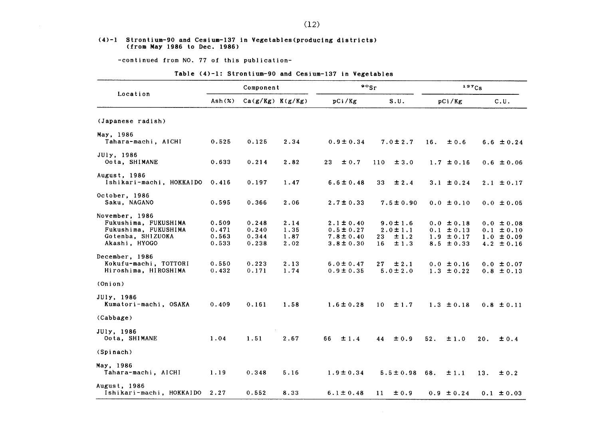#### (4)-1 Strontium-90 and Ce8ium-137in Yegetables(producing district8) (from May 1986 to Dec. 1986)

-COntinued from NO.77 0f this publication-

### Table (4)-1: Strontium-90 and Cesium-137 in Vegetables

|                                                                                                      |                                  | Component                        |                              |                                                                      | $\frac{80}{s}$                                             | 137Cs                                                                |                                                                      |  |
|------------------------------------------------------------------------------------------------------|----------------------------------|----------------------------------|------------------------------|----------------------------------------------------------------------|------------------------------------------------------------|----------------------------------------------------------------------|----------------------------------------------------------------------|--|
| Location                                                                                             | $\mathsf{Ash}(\mathbf{x})$       | $Ca(g/Kg)$ $K(g/Kg)$             |                              | pCi/Kg                                                               | S.U.                                                       | pCi/Kg                                                               | C.U.                                                                 |  |
| (Japanese radish)                                                                                    |                                  |                                  |                              |                                                                      |                                                            |                                                                      |                                                                      |  |
| May, 1986<br>Tahara-machi, AICHI                                                                     | 0.525                            | 0.125                            | 2.34                         | $0.9 \pm 0.34$                                                       | $7.0 \pm 2.7$                                              | 16.<br>±0.6                                                          | $6.6 \pm 0.24$                                                       |  |
| JUly, 1986<br>Oota, SHIMANE                                                                          | 0.633                            | 0.214                            | 2.82                         | 23 <sub>o</sub><br>± 0.7                                             | 110<br>±3.0                                                | $1.7 \pm 0.16$                                                       | $0.6 \pm 0.06$                                                       |  |
| August, 1986<br>Ishikari-machi, HOKKAIDO                                                             | 0.416                            | 0.197                            | 1.47                         | $6.6 \pm 0.48$                                                       | 33<br>$\pm 2.4$                                            | $3.1 \pm 0.24$                                                       | $2.1 \pm 0.17$                                                       |  |
| October, 1986<br>Saku, NAGANO                                                                        | 0.595                            | 0.366                            | 2.06                         | $2.7 \pm 0.33$                                                       | $7.5 \pm 0.90$                                             | $0.0 \pm 0.10$                                                       | $0.0 \pm 0.05$                                                       |  |
| November, 1986<br>Fukushima, FUKUSHIMA<br>Fukushima, FUKUSHIMA<br>Gotenba, SHIZUOKA<br>Akashi, HYOGO | 0.509<br>0.471<br>0.563<br>0.533 | 0.248<br>0.240<br>0.344<br>0.238 | 2.14<br>1.35<br>1.87<br>2.02 | $2.1 \pm 0.40$<br>$0.5 \pm 0.27$<br>$7.8 \pm 0.40$<br>$3.8 \pm 0.30$ | $9.0 \pm 1.6$<br>$2.0 \pm 1.1$<br>±1.2<br>23<br>±1.3<br>16 | $0.0 \pm 0.18$<br>$0.1 \pm 0.13$<br>$1.9 \pm 0.17$<br>$8.5 \pm 0.33$ | $0.0 \pm 0.08$<br>$0.1 \pm 0.10$<br>$1.0 \pm 0.09$<br>$4.2 \pm 0.16$ |  |
| December, 1986<br>Kokufu-machi, TOTTORI<br>Hiroshima, HIROSHIMA                                      | 0.550<br>0.432                   | 0.223<br>0.171                   | 2.13<br>1.74                 | $6.0 \pm 0.47$<br>$0.9 \pm 0.35$                                     | 27 <sub>2</sub><br>$\pm 2.1$<br>$5.0 \pm 2.0$              | $0.0 \pm 0.16$<br>$1.3 \pm 0.22$                                     | $0.0 \pm 0.07$<br>$0.8 \pm 0.13$                                     |  |
| (Onion)                                                                                              |                                  |                                  |                              |                                                                      |                                                            |                                                                      |                                                                      |  |
| JUly, 1986<br>Kumatori-machi, OSAKA                                                                  | 0.409                            | 0.161                            | 1.58                         | $1.6 \pm 0.28$                                                       | ±1.7<br>10 <sup>°</sup>                                    | $1.3 \pm 0.18$                                                       | $0.8 \pm 0.11$                                                       |  |
| (Cabbage)                                                                                            |                                  |                                  |                              |                                                                      |                                                            |                                                                      |                                                                      |  |
| JUly, 1986<br>Oota, SHIMANE                                                                          | 1.04                             | 1.51                             | 2.67                         | 66<br>±1.4                                                           | ±0.9<br>44                                                 | 52.<br>±1.0                                                          | 20.<br>± 0.4                                                         |  |
| (Spinach)                                                                                            |                                  |                                  |                              |                                                                      |                                                            |                                                                      |                                                                      |  |
| May, 1986<br>Tahara-machi, AICHI                                                                     | 1.19                             | 0.348                            | 5.16                         | $1.9 \pm 0.34$                                                       | $5.5 \pm 0.98$ 68.                                         | ±1.1                                                                 | 13.<br>±0.2                                                          |  |
| August, 1986<br>Ishikari-machi, HOKKAIDO                                                             | 2.27                             | 0.552                            | 8.33                         | $6.1 \pm 0.48$                                                       | ±0.9<br>11                                                 | $0.9 \pm 0.24$                                                       | $0.1 \pm 0.03$                                                       |  |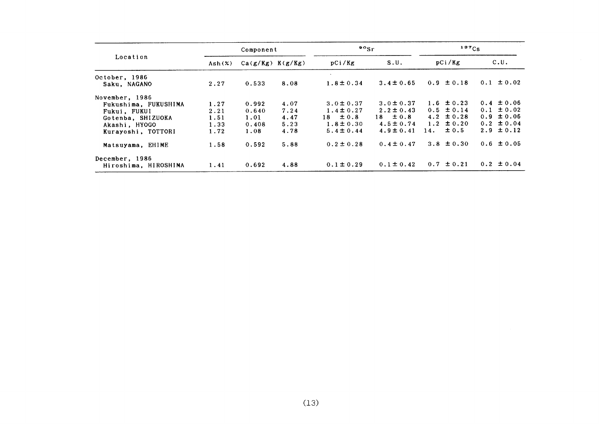| Location                      |        | Component            |      | $\mathfrak{so}_{\mathrm{Sr}}$ |                | 137C <sub>S</sub> |                |
|-------------------------------|--------|----------------------|------|-------------------------------|----------------|-------------------|----------------|
|                               | Ash(X) | $Ca(g/Kg)$ $K(g/Kg)$ |      | pCi/Kg                        | S.U.           | pCi/Kg            | C.U.           |
| October, 1986<br>Saku, NAGANO | 2.27   | 0.533                | 8.08 | $1.8 \pm 0.34$                | $3.4 \pm 0.65$ | $0.9 \pm 0.18$    | $0.1 \pm 0.02$ |
| November, 1986                |        |                      |      |                               |                |                   |                |
| Fukushima, FUKUSHIMA          | 1.27   | 0.992                | 4.07 | $3.0 \pm 0.37$                | $3.0 \pm 0.37$ | $1.6 \pm 0.23$    | $0.4 \pm 0.06$ |
| Fukui, FUKUI                  | 2.21   | 0.640                | 7.24 | $1.4 \pm 0.27$                | $2.2 \pm 0.43$ | $0.5 \pm 0.14$    | $0.1 \pm 0.02$ |
| Gotenba, SHIZUOKA             | 1.51   | 1.01                 | 4.47 | $18 \pm 0.8$                  | $18 \pm 0.8$   | $4.2 \pm 0.28$    | $0.9 \pm 0.06$ |
| Akashi, HYOGO                 | 1.33   | 0.408                | 5.23 | $1.8 \pm 0.30$                | $4.5 \pm 0.74$ | $1.2 \pm 0.20$    | $0.2 \pm 0.04$ |
| Kurayoshi, TOTTORI            | 1.72   | 1.08                 | 4.78 | $5.4 \pm 0.44$                | $4.9 \pm 0.41$ | $\pm 0.5$<br>14.  | $2.9 \pm 0.12$ |
| Matsuyama, EHIME              | 1.58   | 0.592                | 5.88 | $0.2 \pm 0.28$                | $0.4 \pm 0.47$ | $3.8 \pm 0.30$    | $0.6 \pm 0.05$ |
| December, 1986                |        |                      |      |                               |                |                   |                |
| Hiroshima, HIROSHIMA          | 1.41   | 0.692                | 4.88 | $0.1 \pm 0.29$                | $0.1 \pm 0.42$ | $0.7 \pm 0.21$    | $0.2 \pm 0.04$ |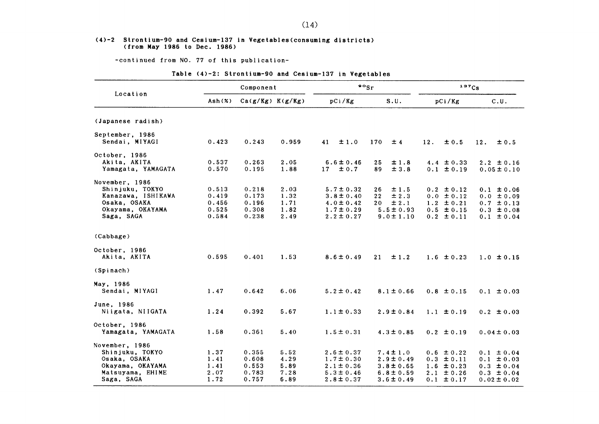#### $(4)-2$  Strontium-90 and Cesium-137 in Vegetables (consuming districts) (from Hay1986 to Dee.1986)

-COntinued from NO.77 0f this publication-

### Table (4)-2: Strontium-90 and Cesium-137 in Vegetables

|                    |                          | Component            |       |                 | $\frac{80}{s}$               |                | 137Cs            |
|--------------------|--------------------------|----------------------|-------|-----------------|------------------------------|----------------|------------------|
| Location           | $\text{Ash}(\mathbf{x})$ | $Ca(g/Kg)$ $K(g/Kg)$ |       | pCi/Kg          | S.U.                         | pCi/Kg         | C.U.             |
| (Japanese radish)  |                          |                      |       |                 |                              |                |                  |
| September, 1986    |                          |                      |       |                 |                              |                |                  |
| Sendai, MIYAGI     | 0.423                    | 0.243                | 0.959 | 41<br>$\pm 1.0$ | 170<br>±4                    | 12.<br>± 0.5   | 12.<br>$\pm 0.5$ |
| October, 1986      |                          |                      |       |                 |                              |                |                  |
| Akita, AKITA       | 0.537                    | 0.263                | 2.05  | $6.6 \pm 0.46$  | 25<br>±1.8                   | 4.4 $\pm$ 0.33 | $2.2 \pm 0.16$   |
| Yamagata, YAMAGATA | 0.570                    | 0.195                | 1.88  | 17<br>$\pm 0.7$ | ± 3.8<br>89                  | $0.1 \pm 0.19$ | $0.05 \pm 0.10$  |
| November, 1986     |                          |                      |       |                 |                              |                |                  |
| Shinjuku, TOKYO    | 0.513                    | 0.218                | 2.03  | $5.7 \pm 0.32$  | ±1.5<br>26                   | $0.2 \pm 0.12$ | $0.1 \pm 0.06$   |
| Kanazawa, ISHIKAWA | 0.419                    | 0.173                | 1.32  | $3.8 \pm 0.40$  | $\pm 2.3$<br>22 <sub>2</sub> | $0.0 \pm 0.12$ | $0.0 \pm 0.09$   |
| Osaka, OSAKA       | 0.456                    | 0.196                | 1.71  | $4.0 \pm 0.42$  | ± 2.1<br>20                  | $1.2 \pm 0.21$ | $0.7 \pm 0.13$   |
| Okayama, OKAYAMA   | 0.525                    | 0.308                | 1.82  | $1.7 \pm 0.29$  | $5.5 \pm 0.93$               | $0.5 \pm 0.15$ | $0.3 \pm 0.08$   |
| Saga, SAGA         | 0.584                    | 0.238                | 2.49  | $2.2 \pm 0.27$  | $9.0 \pm 1.10$               | $0.2 \pm 0.11$ | $0.1 \pm 0.04$   |
| (Cabbage)          |                          |                      |       |                 |                              |                |                  |
| October, 1986      |                          |                      |       |                 |                              |                |                  |
| Akita, AKITA       | 0.595                    | 0.401                | 1.53  | $8.6 \pm 0.49$  | ±1.2<br>21                   | $1.6 \pm 0.23$ | $1.0 \pm 0.15$   |
| (Spinach)          |                          |                      |       |                 |                              |                |                  |
| May, 1986          |                          |                      |       |                 |                              |                |                  |
| Sendai, MIYAGI     | 1.47                     | 0.642                | 6.06  | $5.2 \pm 0.42$  | $8.1 \pm 0.66$               | $0.8 \pm 0.15$ | $0.1 \pm 0.03$   |
| June, 1986         |                          |                      |       |                 |                              |                |                  |
| Niigata, NIIGATA   | 1.24                     | 0.392                | 5.67  | $1.1 \pm 0.33$  | $2.9 \pm 0.84$               | $1.1 \pm 0.19$ | $0.2 \pm 0.03$   |
| October, 1986      |                          |                      |       |                 |                              |                |                  |
| Yamagata, YAMAGATA | 1.58                     | 0.361                | 5.40  | $1.5 \pm 0.31$  | $4.3 \pm 0.85$               | $0.2 \pm 0.19$ | $0.04 \pm 0.03$  |
| November, 1986     |                          |                      |       |                 |                              |                |                  |
| Shinjuku, TOKYO    | 1.37                     | 0.355                | 5.52  | $2.6 \pm 0.37$  | $7.4 \pm 1.0$                | $0.6 \pm 0.22$ | $0.1 \pm 0.04$   |
| Osaka, OSAKA       | 1.41                     | 0.608                | 4.29  | $1.7 \pm 0.30$  | $2.9 \pm 0.49$               | $0.3 \pm 0.11$ | $0.1 \pm 0.03$   |
| Okayama, OKAYAMA   | 1.41                     | 0.553                | 5.89  | $2.1 \pm 0.36$  | $3.8 \pm 0.65$               | $1.6 \pm 0.23$ | $0.3 \pm 0.04$   |
| Matsuyama, EHIME   | 2.07                     | 0.783                | 7.28  | $5.3 \pm 0.46$  | $6.8 \pm 0.59$               | $2.1 \pm 0.26$ | $0.3 \pm 0.04$   |
| Saga, SAGA         | 1.72                     | 0.757                | 6.89  | $2.8 \pm 0.37$  | $3.6 \pm 0.49$               | $0.1 \pm 0.17$ | $0.02 \pm 0.02$  |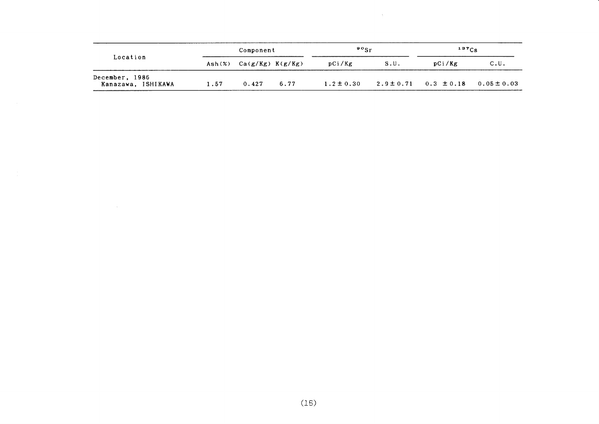| Location<br>December, 1986 |                 | Component            |      | $\mathfrak{so}_{\mathrm{Sr}}$ |                               | $137C_S$ |                 |
|----------------------------|-----------------|----------------------|------|-------------------------------|-------------------------------|----------|-----------------|
|                            | $\text{Ash}(x)$ | $Ca(g/Kg)$ $K(g/Kg)$ |      | pCi/Kg                        | S.U.                          | pCi/Kg   | C.U.            |
| Kanazawa, ISHIKAWA         | 1.57            | 0.427                | 6.77 | $1.2 \pm 0.30$                | $2.9 \pm 0.71$ $0.3 \pm 0.18$ |          | $0.05 \pm 0.03$ |

 $\sim 10^7$ 

 $\sim$   $\sim$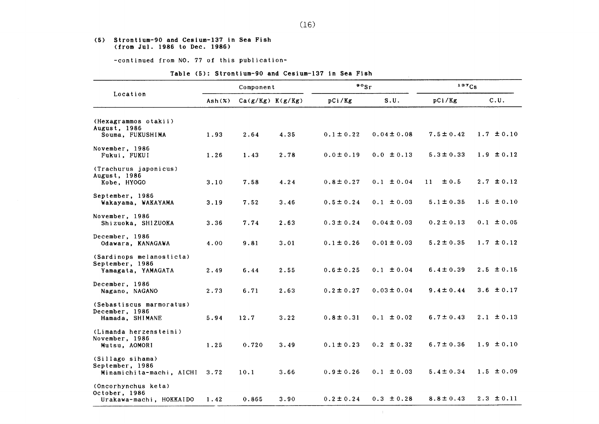#### (5) Strontium-90 and Ce8ium-137in Sea Fish (from JⅦ1.1986 to Dee.1986)

-COntinued from NO.77 0f this publication-

|                                                                   |                                        | Component            |      | $\cdot$ $\cdot$ sr |                 | 137Cs          |                |
|-------------------------------------------------------------------|----------------------------------------|----------------------|------|--------------------|-----------------|----------------|----------------|
| Location                                                          | $\text{Ash}(\boldsymbol{\mathcal{Z}})$ | $Ca(g/Kg)$ $K(g/Kg)$ |      | pCi/Kg             | S.U.            | pCi/Kg         | C.U.           |
| (Hexagrammos otakii)<br>August, 1986<br>Souma, FUKUSHIMA          | 1.93                                   | 2.64                 | 4.35 | $0.1 \pm 0.22$     | $0.04 \pm 0.08$ | $7.5 \pm 0.42$ | $1.7 \pm 0.10$ |
| November, 1986<br>Fukui, FUKUI                                    | 1.26                                   | 1.43                 | 2.78 | $0.0 \pm 0.19$     | $0.0 \pm 0.13$  | $5.3 \pm 0.33$ | $1.9 \pm 0.12$ |
| (Trachurus japonicus)<br>August, 1986<br>Kobe, HYOGO              | 3.10                                   | 7.58                 | 4.24 | $0.8 \pm 0.27$     | $0.1 \pm 0.04$  | ± 0.5<br>11    | $2.7 \pm 0.12$ |
| September, 1986<br>Wakayama, WAKAYAMA                             | 3.19                                   | 7.52                 | 3.46 | $0.5 \pm 0.24$     | $0.1 \pm 0.03$  | $5.1 \pm 0.35$ | $1.5 \pm 0.10$ |
| November, 1986<br>Shizuoka, SHIZUOKA                              | 3.36                                   | 7.74                 | 2.63 | $0.3 \pm 0.24$     | $0.04 \pm 0.03$ | $0.2 \pm 0.13$ | $0.1 \pm 0.05$ |
| December, 1986<br>Odawara, KANAGAWA                               | 4.00                                   | 9.81                 | 3.01 | $0.1 \pm 0.26$     | $0.01 \pm 0.03$ | $5.2 \pm 0.35$ | $1.7 \pm 0.12$ |
| (Sardinops melanosticta)<br>September, 1986<br>Yamagata, YAMAGATA | 2.49                                   | 6.44                 | 2.55 | $0.6 \pm 0.25$     | $0.1 \pm 0.04$  | $6.4 \pm 0.39$ | $2.5 \pm 0.15$ |
| December, 1986<br>Nagano, NAGANO                                  | 2.73                                   | 6.71                 | 2.63 | $0.2 \pm 0.27$     | $0.03 \pm 0.04$ | $9.4 \pm 0.44$ | 3.6 $\pm$ 0.17 |
| (Sebastiscus marmoratus)<br>December, 1986<br>Hamada, SHIMANE     | 5.94                                   | 12.7                 | 3.22 | $0.8 \pm 0.31$     | $0.1 \pm 0.02$  | $6.7 \pm 0.43$ | $2.1 \pm 0.13$ |
| (Limanda herzensteini)<br>November, 1986<br>Mutsu, AOMORI         | 1.25                                   | 0.720                | 3.49 | $0.1 \pm 0.23$     | $0.2 \pm 0.32$  | $6.7 \pm 0.36$ | $1.9 \pm 0.10$ |
| (Sillago sihama)<br>September, 1986<br>Minamichita-machi, AICHI   | 3.72                                   | 10.1                 | 3.66 | $0.9 \pm 0.26$     | $0.1 \pm 0.03$  | $5.4 \pm 0.34$ | $1.5 \pm 0.09$ |
| (Oncorhynchus keta)<br>October, 1986<br>Urakawa-machi, HOKKAIDO   | 1.42                                   | 0.865                | 3.90 | $0.2 \pm 0.24$     | $0.3 \pm 0.28$  | $8.8 \pm 0.43$ | $2.3 \pm 0.11$ |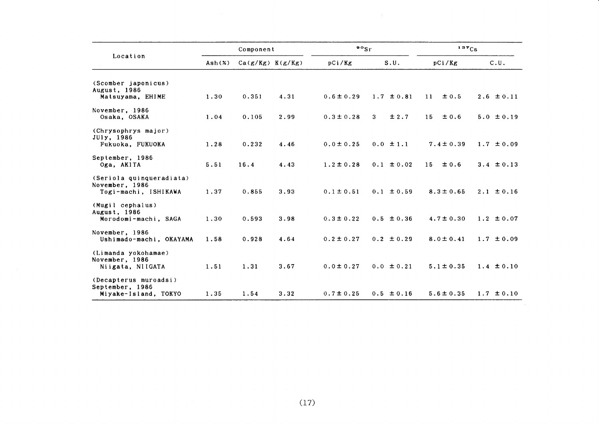|                                                                    |                 | Component            |      | $\frac{90}{5}$ r |                        | 137Cs           |                |  |
|--------------------------------------------------------------------|-----------------|----------------------|------|------------------|------------------------|-----------------|----------------|--|
| Location                                                           | $\text{Ash}(x)$ | $Ca(g/Kg)$ $K(g/Kg)$ |      | pCi/Kg           | S.U.                   | pCi/Kg          | C.U.           |  |
| (Scomber japonicus)                                                |                 |                      |      |                  |                        |                 |                |  |
| August, 1986<br>Matsuyama, EHIME                                   | 1.30            | 0.351                | 4.31 | $0.6 \pm 0.29$   | $1.7 \pm 0.81$         | 11<br>± 0.5     | $2.6 \pm 0.11$ |  |
| November, 1986<br>Osaka, OSAKA                                     | 1.04            | 0.105                | 2.99 | $0.3 \pm 0.28$   | ±2.7<br>3 <sup>1</sup> | 15<br>± 0.6     | $5.0 \pm 0.19$ |  |
| (Chrysophrys major)<br>JUly, 1986<br>Fukuoka, FUKUOKA              | 1.28            | 0.232                | 4.46 | $0.0 \pm 0.25$   | $0.0 \pm 1.1$          | $7.4 \pm 0.39$  | $1.7 \pm 0.09$ |  |
| September, 1986<br>Oga, AKITA                                      | 5.51            | 16.4                 | 4.43 | $1.2 \pm 0.28$   | $0.1 \pm 0.02$         | $\pm 0.6$<br>15 | $3.4 \pm 0.13$ |  |
| (Seriola quinqueradiata)<br>November, 1986<br>Togi-machi, ISHIKAWA | 1.37            | 0.855                | 3.93 | $0.1 \pm 0.51$   | $0.1 \pm 0.59$         | $8.3 \pm 0.65$  | $2.1 \pm 0.16$ |  |
| (Mugil cephalus)<br>August, 1986<br>Morodomi-machi, SAGA           | 1.30            | 0.593                | 3.98 | $0.3 \pm 0.22$   | $0.5 \pm 0.36$         | $4.7 \pm 0.30$  | $1.2 \pm 0.07$ |  |
| November, 1986<br>Ushimado-machi, OKAYAMA                          | 1.58            | 0.928                | 4.64 | $0.2 \pm 0.27$   | $0.2 \pm 0.29$         | $8.0 \pm 0.41$  | $1.7 \pm 0.09$ |  |
| (Limanda yokohamae)<br>November, 1986<br>Niigata, NIIGATA          | 1.51            | 1.31                 | 3.67 | $0.0 \pm 0.27$   | $0.0 \pm 0.21$         | $5.1 \pm 0.35$  | $1.4 \pm 0.10$ |  |
| (Decapterus muroadsi)<br>September, 1986<br>Miyake-Island, TOKYO   | 1.35            | 1.54                 | 3.32 | $0.7 \pm 0.25$   | $0.5 \pm 0.16$         | $5.6 \pm 0.35$  | $1.7 \pm 0.10$ |  |

 $\sim$   $_{\rm H}$  .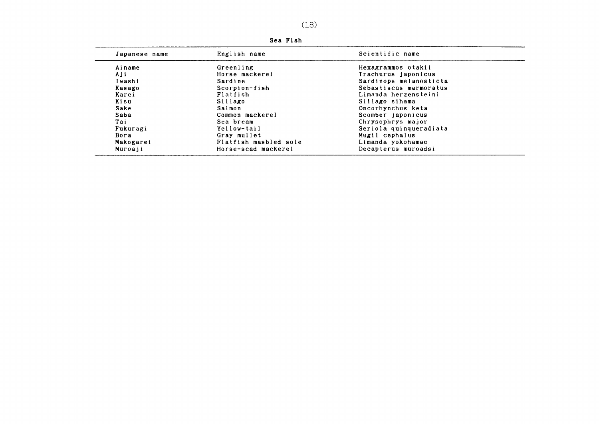| Japanese name | English name          | Scientific name        |
|---------------|-----------------------|------------------------|
| Ainame        | Greenling             | Hexagrammos otakii     |
| Aji           | Horse mackerel        | Trachurus japonicus    |
| Iwashi        | Sardine               | Sardinops melanosticta |
| Kasago        | Scorpion-fish         | Sebastiscus marmoratus |
| Karei         | Flatfish              | Limanda herzensteini   |
| Kisu          | Sillago               | Sillago sihama         |
| Sake          | Salmon                | Oncorhynchus keta      |
| Saba          | Common mackerel       | Scomber japonicus      |
| Tai           | Sea bream             | Chrysophrys major      |
| Fukuragi      | Yellow-tail           | Seriola quinqueradiata |
| Bora          | Gray mullet           | Mugil cephalus         |
| Makogarei     | Flatfish masbled sole | Limanda yokohamae      |
| Muroaji       | Horse-scad mackerel   | Decapterus muroadsi    |

Sea Fish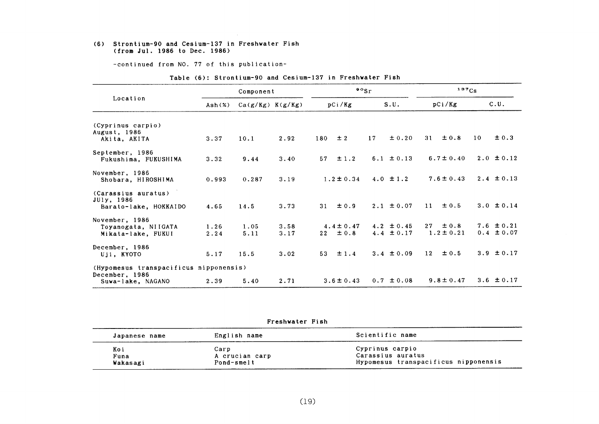#### (6) Strontiun-90 and Cesium-137in Freshwater Fish (from Jul.1986 to Dee.1986)

-COntinued from NO.77 0f this publication-

|                                                                               |              | Component            |              |                                                | $\frac{90}{s}$ r                 | 137Cs                             |                                  |
|-------------------------------------------------------------------------------|--------------|----------------------|--------------|------------------------------------------------|----------------------------------|-----------------------------------|----------------------------------|
| Location                                                                      | Ash(x)       | $Ca(g/Kg)$ $K(g/Kg)$ |              | pCi/Kg                                         | S.U.                             | pCi/Kg                            | C.U.                             |
| (Cyprinus carpio)<br>August, 1986<br>Akita, AKITA                             | 3.37         | 10.1                 | 2.92         | ±2<br>180                                      | ± 0.20<br>17                     | ±0.8<br>31                        | ± 0.3<br>10                      |
| September, 1986<br>Fukushima, FUKUSHIMA                                       | 3.32         | 9.44                 | 3.40         | 57<br>±1.2                                     | 6.1 $\pm$ 0.13                   | $6.7 \pm 0.40$                    | $2.0 \pm 0.12$                   |
| November, 1986<br>Shobara, HIROSHIMA                                          | 0.993        | 0.287                | 3.19         | $1.2 \pm 0.34$                                 | 4.0 $\pm$ 1.2                    | $7.6 \pm 0.43$                    | $2.4 \pm 0.13$                   |
| (Carassius auratus)<br>JUly, 1986<br>Barato-lake, HOKKAIDO                    | 4.65         | 14.5                 | 3.73         | 31<br>$\pm 0.9$                                | $2.1 \pm 0.07$                   | ± 0.5<br>11                       | $3.0 \pm 0.14$                   |
| November, 1986<br>Toyanogata, NIIGATA<br>Mikata-lake, FUKUI                   | 1.26<br>2.24 | 1.05<br>5.11         | 3.58<br>3.17 | $4.4 \pm 0.47$<br>$\pm 0.8$<br>22 <sub>2</sub> | $4.2 \pm 0.45$<br>4.4 $\pm$ 0.17 | $\pm 0.8$<br>27<br>$1.2 \pm 0.21$ | 7.6 $\pm$ 0.21<br>$0.4 \pm 0.07$ |
| December, 1986<br>Uji, KYOTO                                                  | 5.17         | 15.5                 | 3.02         | 53<br>$\pm$ 1.4                                | $3.4 \pm 0.09$                   | ±0.5<br>12 <sub>2</sub>           | 3.9 $\pm 0.17$                   |
| (Hypomesus transpacificus nipponensis)<br>December, 1986<br>Suwa-lake, NAGANO | 2.39         | 5.40                 | 2.71         | $3.6 \pm 0.43$                                 | $0.7 \pm 0.08$                   | $9.8 \pm 0.47$                    | 3.6 $\pm$ 0.17                   |

#### Table (6): Strontium-90 and Cesium-137 in Freshwater Fish

Freshwater Fish

| Japanese name | English name           | Scientific name                      |
|---------------|------------------------|--------------------------------------|
| Koi<br>Funa   | Carp<br>A crucian carp | Cyprinus carpio<br>Carassius auratus |
| Wakasagi      | Pond-smelt             | Hypomesus transpacificus nipponensis |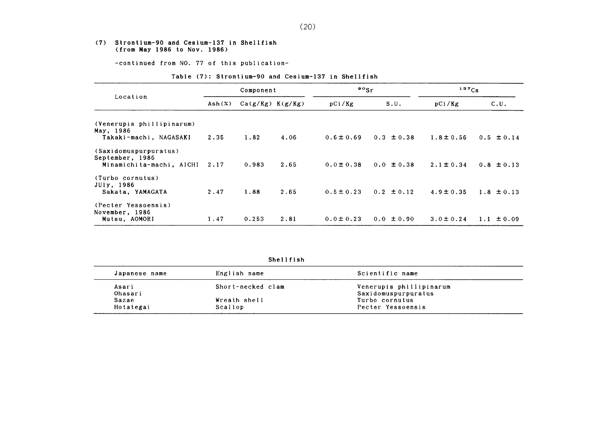#### (7) Strontium-90 and Ce8ium-137in Shellfish (from Hay1986 to Nov.1986)

-COntinued from NO.77 0f this publication-

#### Table (7): Strontium-90 and Cesium-137 in Shellfish

| Location                                                             |                   | Component            |      | $\frac{90}{5}$ r |                | $137C_S$       |                |
|----------------------------------------------------------------------|-------------------|----------------------|------|------------------|----------------|----------------|----------------|
|                                                                      | $\mathsf{Ash}(x)$ | $Ca(g/Kg)$ $K(g/Kg)$ |      | pCi/Kg           | S.U.           | pCi/Kg         | C.U.           |
| (Venerupis phillipinarum)<br>May, 1986                               |                   |                      |      |                  |                |                |                |
| Takaki-machi, NAGASAKI                                               | 2.35              | 1.82                 | 4.06 | $0.6 \pm 0.69$   | $0.3 \pm 0.38$ | $1.8 \pm 0.56$ | $0.5 \pm 0.14$ |
| (Saxidomuspurpuratus)<br>September, 1986<br>Minamichita-machi, AICHI | 2.17              | 0.983                | 2.65 | $0.0 \pm 0.38$   | $0.0 \pm 0.38$ | $2.1 \pm 0.34$ | $0.8 \pm 0.13$ |
| (Turbo cornutus)<br>JUly, 1986<br>Sakata, YAMAGATA                   | 2.47              | 1.88                 | 2.65 | $0.5 \pm 0.23$   | $0.2 \pm 0.12$ | $4.9 \pm 0.35$ | $1.8 \pm 0.13$ |
| (Pecter Yessoensis)<br>November, 1986<br>Mutsu, AOMORI               | 1.47              | 0.253                | 2.81 | $0.0 \pm 0.23$   | $0.0 \pm 0.90$ | $3.0 \pm 0.24$ | ± 0.09<br>1.1  |

Shellfish

| Japanese name         | English name      | Scientific name         |  |  |
|-----------------------|-------------------|-------------------------|--|--|
| Asari                 | Short-necked clam | Venerupis phillipinarum |  |  |
| Ohasari               |                   | Saxidomuspurpuratus     |  |  |
| Wreath shell<br>Sazae |                   | Turbo cornutus          |  |  |
| Hotategai             | Scallop           | Pecter Yessoensis       |  |  |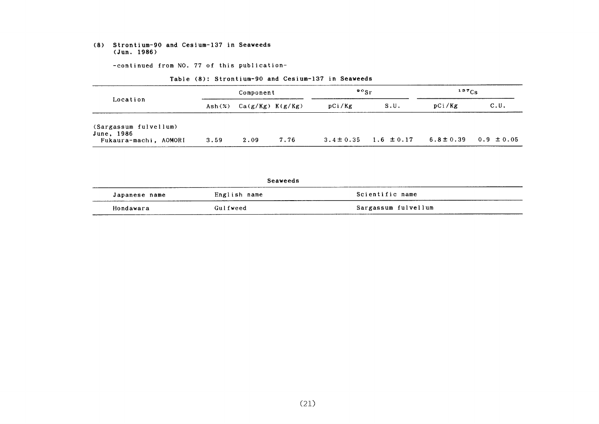#### (8) Strontium-90 and Cesium-137in Seaweeds (Jun.1986)

-COntinued from NO.77 0f this publication-

| Location                            | Component |                                   |      | $\frac{90}{5}$ r |                | $137C_S$       |                |
|-------------------------------------|-----------|-----------------------------------|------|------------------|----------------|----------------|----------------|
|                                     |           | Ash $(\%)$ Ca $(g/Kg)$ K $(g/Kg)$ |      | pCi/Kg           | S.U.           | pCi/Kg         | C.U.           |
| (Sargassum fulvellum)<br>June, 1986 |           |                                   |      |                  |                |                |                |
| Fukaura-machi, AOMORI               | 3.59      | 2.09                              | 7.76 | $3.4 \pm 0.35$   | $1.6 \pm 0.17$ | $6.8 \pm 0.39$ | $0.9 \pm 0.05$ |

#### Table (8): Strontium-90 and Cesium-137 in Seaweeds

Seaveeds Japanese name **English name** Scientific name Hondawara Gulfweed Sargassum fulvel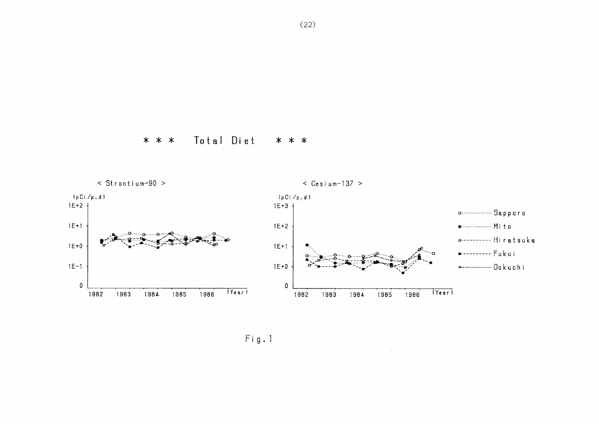

 $\sim$ 

 $Fig. 1$ 

 $(22)$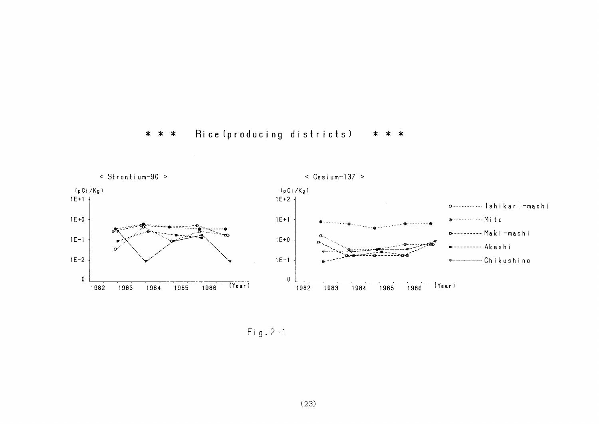



 $Fig. 2-1$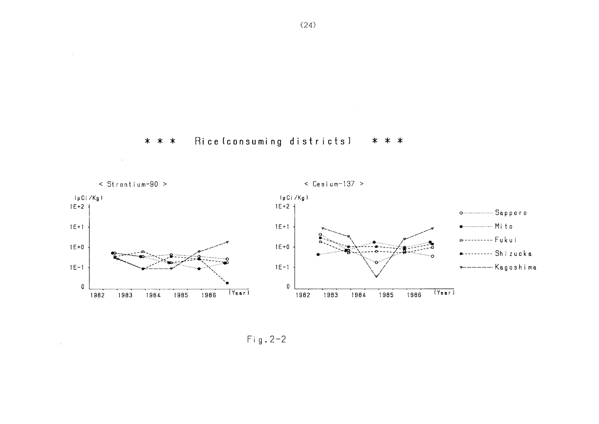

#### Rice (consuming districts) \* \* \* \* \* \*

 $\sim$ 



 $Fig. 2-2$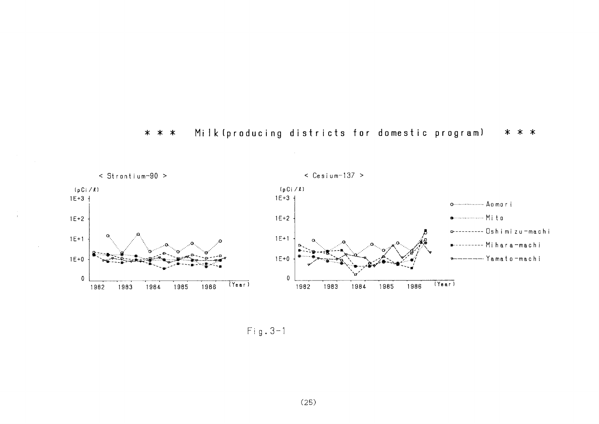



 $Fig. 3-1$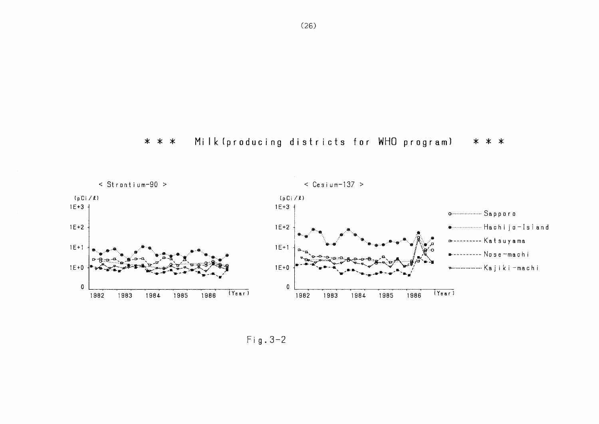$(26)$ 

#### Milk (producing districts for WHO program) \* \* \* \* \* \*



Fig.  $3-2$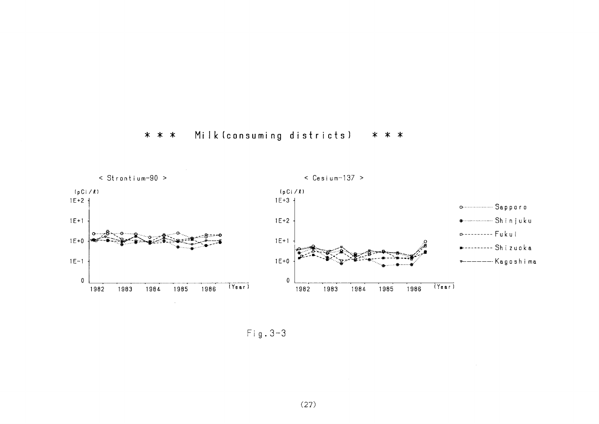



 $Fig. 3-3$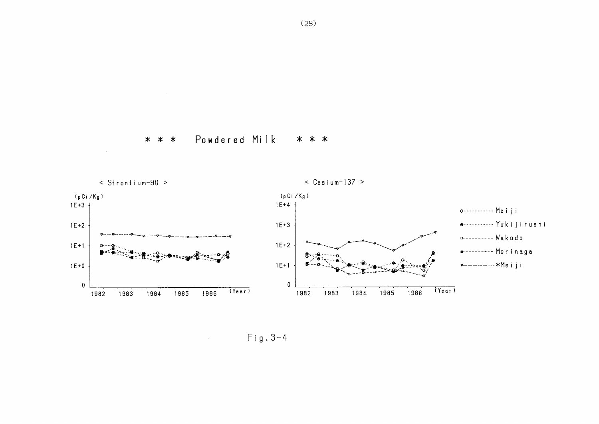



 $Fig. 3-4$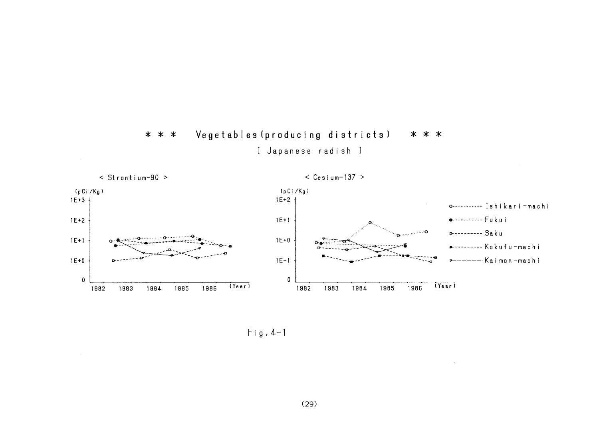

Vegetables (producing districts)

\* \* \*

n.

\* \* \*

 $Fig. 4-1$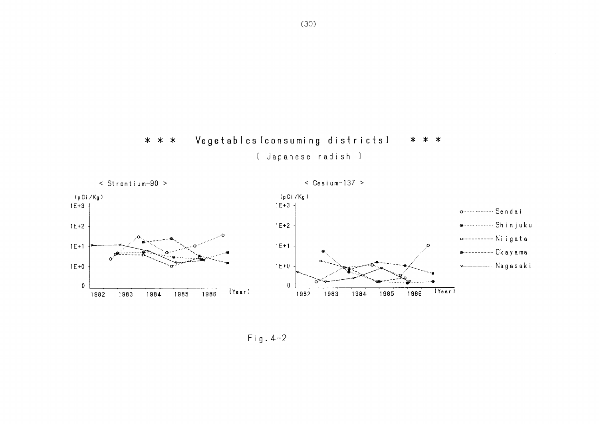

[ Japanese radish ]



 $Fig. 4-2$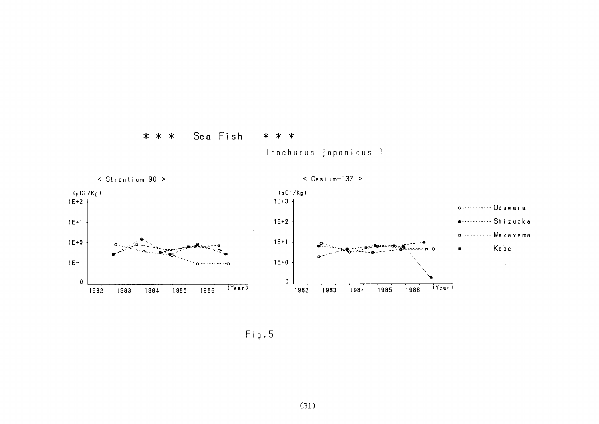





Fig.5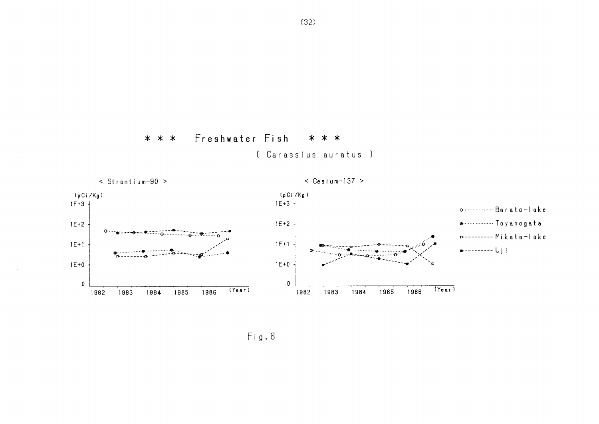

## \* \* \* Freshwater Fish \* \* \*

〔Carassius auratus〕



 $Fig. 6$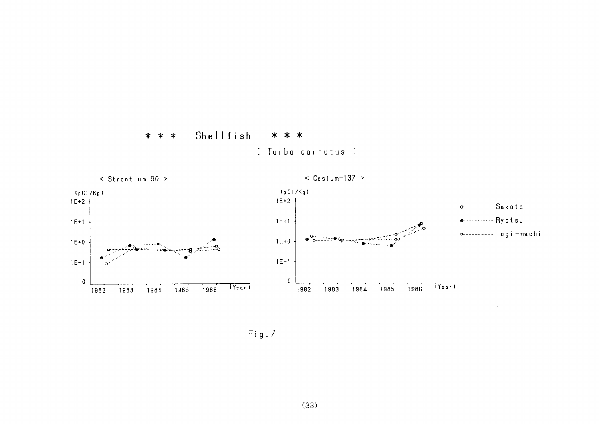





 $Fig.7$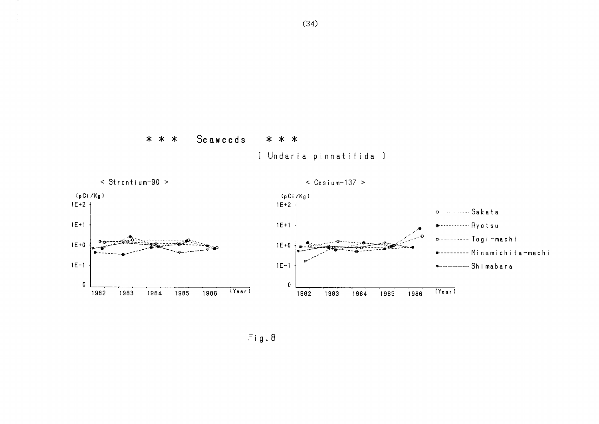





 $Fig. 8$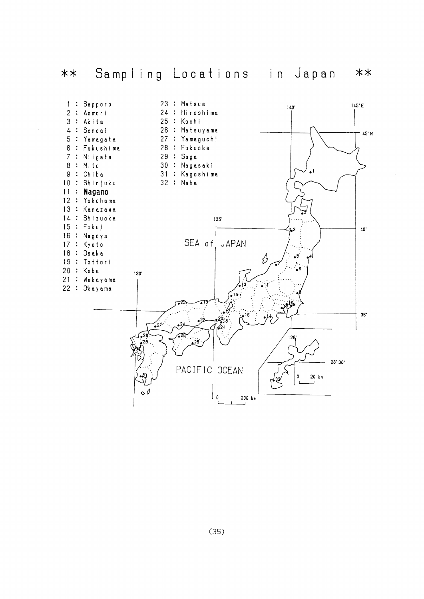